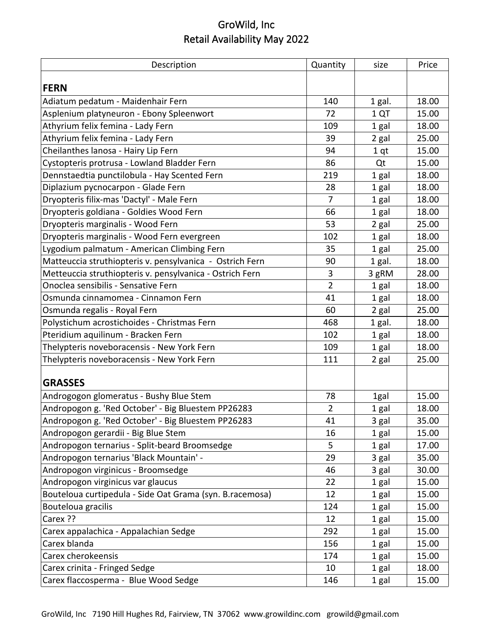| Description                                              | Quantity       | size            | Price |
|----------------------------------------------------------|----------------|-----------------|-------|
|                                                          |                |                 |       |
| <b>FERN</b>                                              |                |                 |       |
| Adiatum pedatum - Maidenhair Fern                        | 140            | 1 gal.          | 18.00 |
| Asplenium platyneuron - Ebony Spleenwort                 | 72             | 1 QT            | 15.00 |
| Athyrium felix femina - Lady Fern                        | 109            | 1 gal           | 18.00 |
| Athyrium felix femina - Lady Fern                        | 39             | 2 gal           | 25.00 |
| Cheilanthes lanosa - Hairy Lip Fern                      | 94             | 1 <sub>qt</sub> | 15.00 |
| Cystopteris protrusa - Lowland Bladder Fern              | 86             | Qt              | 15.00 |
| Dennstaedtia punctilobula - Hay Scented Fern             | 219            | 1 gal           | 18.00 |
| Diplazium pycnocarpon - Glade Fern                       | 28             | 1 gal           | 18.00 |
| Dryopteris filix-mas 'Dactyl' - Male Fern                | $\overline{7}$ | 1 gal           | 18.00 |
| Dryopteris goldiana - Goldies Wood Fern                  | 66             | 1 gal           | 18.00 |
| Dryopteris marginalis - Wood Fern                        | 53             | 2 gal           | 25.00 |
| Dryopteris marginalis - Wood Fern evergreen              | 102            | 1 gal           | 18.00 |
| Lygodium palmatum - American Climbing Fern               | 35             | 1 gal           | 25.00 |
| Matteuccia struthiopteris v. pensylvanica - Ostrich Fern | 90             | 1 gal.          | 18.00 |
| Metteuccia struthiopteris v. pensylvanica - Ostrich Fern | 3              | 3 gRM           | 28.00 |
| Onoclea sensibilis - Sensative Fern                      | $\overline{2}$ | 1 gal           | 18.00 |
| Osmunda cinnamomea - Cinnamon Fern                       | 41             | 1 gal           | 18.00 |
| Osmunda regalis - Royal Fern                             | 60             | 2 gal           | 25.00 |
| Polystichum acrostichoides - Christmas Fern              | 468            | 1 gal.          | 18.00 |
| Pteridium aquilinum - Bracken Fern                       | 102            | 1 gal           | 18.00 |
| Thelypteris noveboracensis - New York Fern               | 109            | 1 gal           | 18.00 |
| Thelypteris noveboracensis - New York Fern               | 111            | 2 gal           | 25.00 |
|                                                          |                |                 |       |
| <b>GRASSES</b>                                           |                |                 |       |
| Androgogon glomeratus - Bushy Blue Stem                  | 78             | 1gal            | 15.00 |
| Andropogon g. 'Red October' - Big Bluestem PP26283       | $\overline{2}$ | 1 gal           | 18.00 |
| Andropogon g. 'Red October' - Big Bluestem PP26283       | 41             | 3 gal           | 35.00 |
| Andropogon gerardii - Big Blue Stem                      | 16             | 1 gal           | 15.00 |
| Andropogon ternarius - Split-beard Broomsedge            | 5.             | 1 gal           | 17.00 |
| Andropogon ternarius 'Black Mountain' -                  | 29             | 3 gal           | 35.00 |
| Andropogon virginicus - Broomsedge                       | 46             | 3 gal           | 30.00 |
| Andropogon virginicus var glaucus                        | 22             | 1 gal           | 15.00 |
| Bouteloua curtipedula - Side Oat Grama (syn. B.racemosa) | 12             | 1 gal           | 15.00 |
| Bouteloua gracilis                                       | 124            | 1 gal           | 15.00 |
| Carex ??                                                 | 12             | 1 gal           | 15.00 |
| Carex appalachica - Appalachian Sedge                    | 292            | 1 gal           | 15.00 |
| Carex blanda                                             | 156            | 1 gal           | 15.00 |
| Carex cherokeensis                                       | 174            | 1 gal           | 15.00 |
| Carex crinita - Fringed Sedge                            | 10             | 1 gal           | 18.00 |
| Carex flaccosperma - Blue Wood Sedge                     | 146            | 1 gal           | 15.00 |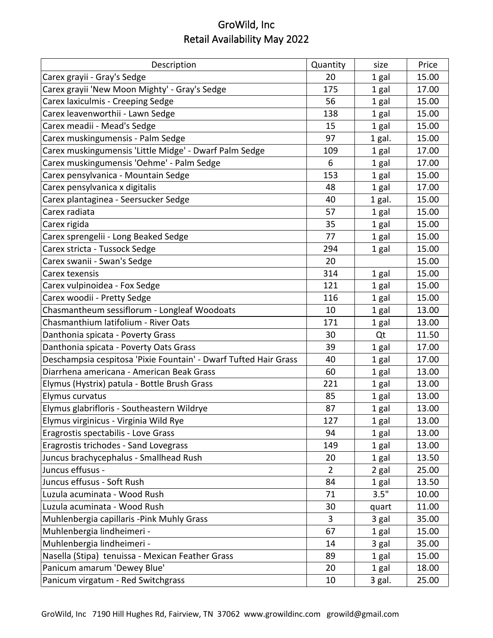| Description                                                      | Quantity       | size   | Price |
|------------------------------------------------------------------|----------------|--------|-------|
| Carex grayii - Gray's Sedge                                      | 20             | 1 gal  | 15.00 |
| Carex grayii 'New Moon Mighty' - Gray's Sedge                    | 175            | 1 gal  | 17.00 |
| Carex laxiculmis - Creeping Sedge                                | 56             | 1 gal  | 15.00 |
| Carex leavenworthii - Lawn Sedge                                 | 138            | 1 gal  | 15.00 |
| Carex meadii - Mead's Sedge                                      | 15             | 1 gal  | 15.00 |
| Carex muskingumensis - Palm Sedge                                | 97             | 1 gal. | 15.00 |
| Carex muskingumensis 'Little Midge' - Dwarf Palm Sedge           | 109            | 1 gal  | 17.00 |
| Carex muskingumensis 'Oehme' - Palm Sedge                        | 6              | 1 gal  | 17.00 |
| Carex pensylvanica - Mountain Sedge                              | 153            | 1 gal  | 15.00 |
| Carex pensylvanica x digitalis                                   | 48             | 1 gal  | 17.00 |
| Carex plantaginea - Seersucker Sedge                             | 40             | 1 gal. | 15.00 |
| Carex radiata                                                    | 57             | 1 gal  | 15.00 |
| Carex rigida                                                     | 35             | 1 gal  | 15.00 |
| Carex sprengelii - Long Beaked Sedge                             | 77             | 1 gal  | 15.00 |
| Carex stricta - Tussock Sedge                                    | 294            | 1 gal  | 15.00 |
| Carex swanii - Swan's Sedge                                      | 20             |        | 15.00 |
| Carex texensis                                                   | 314            | 1 gal  | 15.00 |
| Carex vulpinoidea - Fox Sedge                                    | 121            | 1 gal  | 15.00 |
| Carex woodii - Pretty Sedge                                      | 116            | 1 gal  | 15.00 |
| Chasmantheum sessiflorum - Longleaf Woodoats                     | 10             | 1 gal  | 13.00 |
| Chasmanthium latifolium - River Oats                             | 171            | 1 gal  | 13.00 |
| Danthonia spicata - Poverty Grass                                | 30             | Qt     | 11.50 |
| Danthonia spicata - Poverty Oats Grass                           | 39             | 1 gal  | 17.00 |
| Deschampsia cespitosa 'Pixie Fountain' - Dwarf Tufted Hair Grass | 40             | 1 gal  | 17.00 |
| Diarrhena americana - American Beak Grass                        | 60             | 1 gal  | 13.00 |
| Elymus (Hystrix) patula - Bottle Brush Grass                     | 221            | 1 gal  | 13.00 |
| Elymus curvatus                                                  | 85             | 1 gal  | 13.00 |
| Elymus glabrifloris - Southeastern Wildrye                       | 87             | 1 gal  | 13.00 |
| Elymus virginicus - Virginia Wild Rye                            | 127            | 1 gal  | 13.00 |
| Eragrostis spectabilis - Love Grass                              | 94             | 1 gal  | 13.00 |
| Eragrostis trichodes - Sand Lovegrass                            | 149            | 1 gal  | 13.00 |
| Juncus brachycephalus - Smallhead Rush                           | 20             | 1 gal  | 13.50 |
| Juncus effusus -                                                 | $\overline{2}$ | 2 gal  | 25.00 |
| Juncus effusus - Soft Rush                                       | 84             | 1 gal  | 13.50 |
| Luzula acuminata - Wood Rush                                     | 71             | 3.5"   | 10.00 |
| Luzula acuminata - Wood Rush                                     | 30             | quart  | 11.00 |
| Muhlenbergia capillaris - Pink Muhly Grass                       | 3              | 3 gal  | 35.00 |
| Muhlenbergia lindheimeri -                                       | 67             | 1 gal  | 15.00 |
| Muhlenbergia lindheimeri -                                       | 14             | 3 gal  | 35.00 |
| Nasella (Stipa) tenuissa - Mexican Feather Grass                 | 89             | 1 gal  | 15.00 |
| Panicum amarum 'Dewey Blue'                                      | 20             | 1 gal  | 18.00 |
| Panicum virgatum - Red Switchgrass                               | 10             | 3 gal. | 25.00 |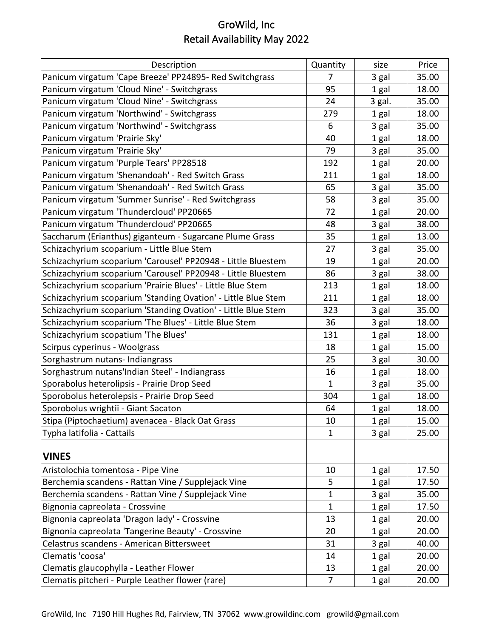| Description                                                   | Quantity     | size   | Price |
|---------------------------------------------------------------|--------------|--------|-------|
| Panicum virgatum 'Cape Breeze' PP24895- Red Switchgrass       | 7            | 3 gal  | 35.00 |
| Panicum virgatum 'Cloud Nine' - Switchgrass                   | 95           | 1 gal  | 18.00 |
| Panicum virgatum 'Cloud Nine' - Switchgrass                   | 24           | 3 gal. | 35.00 |
| Panicum virgatum 'Northwind' - Switchgrass                    | 279          | 1 gal  | 18.00 |
| Panicum virgatum 'Northwind' - Switchgrass                    | 6            | 3 gal  | 35.00 |
| Panicum virgatum 'Prairie Sky'                                | 40           | 1 gal  | 18.00 |
| Panicum virgatum 'Prairie Sky'                                | 79           | 3 gal  | 35.00 |
| Panicum virgatum 'Purple Tears' PP28518                       | 192          | 1 gal  | 20.00 |
| Panicum virgatum 'Shenandoah' - Red Switch Grass              | 211          | 1 gal  | 18.00 |
| Panicum virgatum 'Shenandoah' - Red Switch Grass              | 65           | 3 gal  | 35.00 |
| Panicum virgatum 'Summer Sunrise' - Red Switchgrass           | 58           | 3 gal  | 35.00 |
| Panicum virgatum 'Thundercloud' PP20665                       | 72           | 1 gal  | 20.00 |
| Panicum virgatum 'Thundercloud' PP20665                       | 48           | 3 gal  | 38.00 |
| Saccharum (Erianthus) giganteum - Sugarcane Plume Grass       | 35           | 1 gal  | 13.00 |
| Schizachyrium scoparium - Little Blue Stem                    | 27           | 3 gal  | 35.00 |
| Schizachyrium scoparium 'Carousel' PP20948 - Little Bluestem  | 19           | 1 gal  | 20.00 |
| Schizachyrium scoparium 'Carousel' PP20948 - Little Bluestem  | 86           | 3 gal  | 38.00 |
| Schizachyrium scoparium 'Prairie Blues' - Little Blue Stem    | 213          | 1 gal  | 18.00 |
| Schizachyrium scoparium 'Standing Ovation' - Little Blue Stem | 211          | 1 gal  | 18.00 |
| Schizachyrium scoparium 'Standing Ovation' - Little Blue Stem | 323          | 3 gal  | 35.00 |
| Schizachyrium scoparium 'The Blues' - Little Blue Stem        | 36           | 3 gal  | 18.00 |
| Schizachyrium scopatium 'The Blues'                           | 131          | 1 gal  | 18.00 |
| Scirpus cyperinus - Woolgrass                                 | 18           | 1 gal  | 15.00 |
| Sorghastrum nutans- Indiangrass                               | 25           | 3 gal  | 30.00 |
| Sorghastrum nutans'Indian Steel' - Indiangrass                | 16           | 1 gal  | 18.00 |
| Sporabolus heterolipsis - Prairie Drop Seed                   | $\mathbf{1}$ | 3 gal  | 35.00 |
| Sporobolus heterolepsis - Prairie Drop Seed                   | 304          | 1 gal  | 18.00 |
| Sporobolus wrightii - Giant Sacaton                           | 64           | 1 gal  | 18.00 |
| Stipa (Piptochaetium) avenacea - Black Oat Grass              | 10           | 1 gal  | 15.00 |
| Typha latifolia - Cattails                                    | $\mathbf{1}$ | 3 gal  | 25.00 |
| <b>VINES</b>                                                  |              |        |       |
| Aristolochia tomentosa - Pipe Vine                            | 10           | 1 gal  | 17.50 |
| Berchemia scandens - Rattan Vine / Supplejack Vine            | 5            | 1 gal  | 17.50 |
| Berchemia scandens - Rattan Vine / Supplejack Vine            | $\mathbf{1}$ | 3 gal  | 35.00 |
| Bignonia capreolata - Crossvine                               | 1            | 1 gal  | 17.50 |
| Bignonia capreolata 'Dragon lady' - Crossvine                 | 13           | 1 gal  | 20.00 |
| Bignonia capreolata 'Tangerine Beauty' - Crossvine            | 20           | 1 gal  | 20.00 |
| Celastrus scandens - American Bittersweet                     | 31           | 3 gal  | 40.00 |
| Clematis 'coosa'                                              | 14           | 1 gal  | 20.00 |
| Clematis glaucophylla - Leather Flower                        | 13           | 1 gal  | 20.00 |
| Clematis pitcheri - Purple Leather flower (rare)              | 7            | 1 gal  | 20.00 |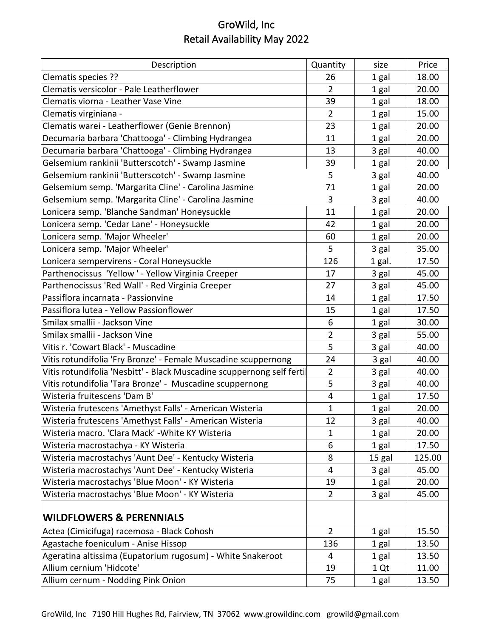| Description                                                           | Quantity       | size   | Price  |
|-----------------------------------------------------------------------|----------------|--------|--------|
| Clematis species ??                                                   | 26             | 1 gal  | 18.00  |
| Clematis versicolor - Pale Leatherflower                              | $\overline{2}$ | 1 gal  | 20.00  |
| Clematis viorna - Leather Vase Vine                                   | 39             | 1 gal  | 18.00  |
| Clematis virginiana -                                                 | $\overline{2}$ | 1 gal  | 15.00  |
| Clematis warei - Leatherflower (Genie Brennon)                        | 23             | 1 gal  | 20.00  |
| Decumaria barbara 'Chattooga' - Climbing Hydrangea                    | 11             | 1 gal  | 20.00  |
| Decumaria barbara 'Chattooga' - Climbing Hydrangea                    | 13             | 3 gal  | 40.00  |
| Gelsemium rankinii 'Butterscotch' - Swamp Jasmine                     | 39             | 1 gal  | 20.00  |
| Gelsemium rankinii 'Butterscotch' - Swamp Jasmine                     | 5              | 3 gal  | 40.00  |
| Gelsemium semp. 'Margarita Cline' - Carolina Jasmine                  | 71             | 1 gal  | 20.00  |
| Gelsemium semp. 'Margarita Cline' - Carolina Jasmine                  | 3              | 3 gal  | 40.00  |
| Lonicera semp. 'Blanche Sandman' Honeysuckle                          | 11             | 1 gal  | 20.00  |
| Lonicera semp. 'Cedar Lane' - Honeysuckle                             | 42             | 1 gal  | 20.00  |
| Lonicera semp. 'Major Wheeler'                                        | 60             | 1 gal  | 20.00  |
| Lonicera semp. 'Major Wheeler'                                        | 5              | 3 gal  | 35.00  |
| Lonicera sempervirens - Coral Honeysuckle                             | 126            | 1 gal. | 17.50  |
| Parthenocissus 'Yellow' - Yellow Virginia Creeper                     | 17             | 3 gal  | 45.00  |
| Parthenocissus 'Red Wall' - Red Virginia Creeper                      | 27             | 3 gal  | 45.00  |
| Passiflora incarnata - Passionvine                                    | 14             | 1 gal  | 17.50  |
| Passiflora lutea - Yellow Passionflower                               | 15             | 1 gal  | 17.50  |
| Smilax smallii - Jackson Vine                                         | 6              | 1 gal  | 30.00  |
| Smilax smallii - Jackson Vine                                         | $\overline{2}$ | 3 gal  | 55.00  |
| Vitis r. 'Cowart Black' - Muscadine                                   | 5              | 3 gal  | 40.00  |
| Vitis rotundifolia 'Fry Bronze' - Female Muscadine scuppernong        | 24             | 3 gal  | 40.00  |
| Vitis rotundifolia 'Nesbitt' - Black Muscadine scuppernong self ferti | $\overline{2}$ | 3 gal  | 40.00  |
| Vitis rotundifolia 'Tara Bronze' - Muscadine scuppernong              | 5              | 3 gal  | 40.00  |
| Wisteria fruitescens 'Dam B'                                          | 4              | 1 gal  | 17.50  |
| Wisteria frutescens 'Amethyst Falls' - American Wisteria              | 1              | 1 gal  | 20.00  |
| Wisteria frutescens 'Amethyst Falls' - American Wisteria              | 12             | 3 gal  | 40.00  |
| Wisteria macro. 'Clara Mack' - White KY Wisteria                      | 1              | 1 gal  | 20.00  |
| Wisteria macrostachya - KY Wisteria                                   | 6              | 1 gal  | 17.50  |
| Wisteria macrostachys 'Aunt Dee' - Kentucky Wisteria                  | 8              | 15 gal | 125.00 |
| Wisteria macrostachys 'Aunt Dee' - Kentucky Wisteria                  | 4              | 3 gal  | 45.00  |
| Wisteria macrostachys 'Blue Moon' - KY Wisteria                       | 19             | 1 gal  | 20.00  |
| Wisteria macrostachys 'Blue Moon' - KY Wisteria                       | $\overline{2}$ | 3 gal  | 45.00  |
| <b>WILDFLOWERS &amp; PERENNIALS</b>                                   |                |        |        |
| Actea (Cimicifuga) racemosa - Black Cohosh                            | $\overline{2}$ | 1 gal  | 15.50  |
| Agastache foeniculum - Anise Hissop                                   | 136            | 1 gal  | 13.50  |
| Ageratina altissima (Eupatorium rugosum) - White Snakeroot            | 4              | 1 gal  | 13.50  |
| Allium cernium 'Hidcote'                                              | 19             | 1 Qt   | 11.00  |
| Allium cernum - Nodding Pink Onion                                    | 75             | 1 gal  | 13.50  |
|                                                                       |                |        |        |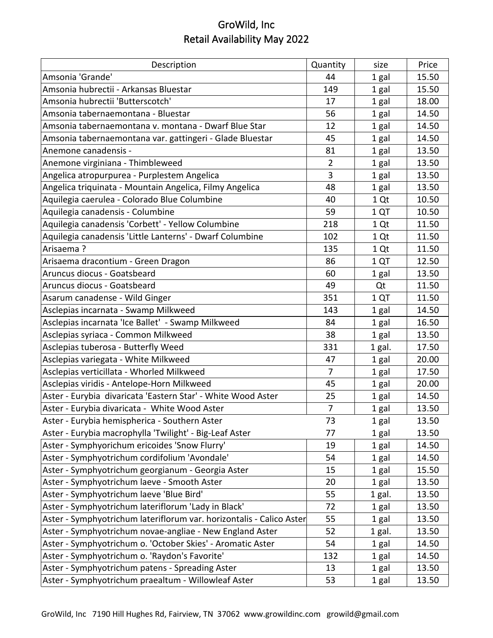| Description                                                          | Quantity       | size   | Price |
|----------------------------------------------------------------------|----------------|--------|-------|
| Amsonia 'Grande'                                                     | 44             | 1 gal  | 15.50 |
| Amsonia hubrectii - Arkansas Bluestar                                | 149            | 1 gal  | 15.50 |
| Amsonia hubrectii 'Butterscotch'                                     | 17             | 1 gal  | 18.00 |
| Amsonia tabernaemontana - Bluestar                                   | 56             | 1 gal  | 14.50 |
| Amsonia tabernaemontana v. montana - Dwarf Blue Star                 | 12             | 1 gal  | 14.50 |
| Amsonia tabernaemontana var. gattingeri - Glade Bluestar             | 45             | 1 gal  | 14.50 |
| Anemone canadensis -                                                 | 81             | 1 gal  | 13.50 |
| Anemone virginiana - Thimbleweed                                     | $\overline{2}$ | 1 gal  | 13.50 |
| Angelica atropurpurea - Purplestem Angelica                          | 3              | 1 gal  | 13.50 |
| Angelica triquinata - Mountain Angelica, Filmy Angelica              | 48             | 1 gal  | 13.50 |
| Aquilegia caerulea - Colorado Blue Columbine                         | 40             | 1 Qt   | 10.50 |
| Aquilegia canadensis - Columbine                                     | 59             | 1 QT   | 10.50 |
| Aquilegia canadensis 'Corbett' - Yellow Columbine                    | 218            | 1 Qt   | 11.50 |
| Aquilegia canadensis 'Little Lanterns' - Dwarf Columbine             | 102            | 1 Qt   | 11.50 |
| Arisaema?                                                            | 135            | 1 Qt   | 11.50 |
| Arisaema dracontium - Green Dragon                                   | 86             | 1 QT   | 12.50 |
| Aruncus diocus - Goatsbeard                                          | 60             | 1 gal  | 13.50 |
| Aruncus diocus - Goatsbeard                                          | 49             | Qt     | 11.50 |
| Asarum canadense - Wild Ginger                                       | 351            | 1 QT   | 11.50 |
| Asclepias incarnata - Swamp Milkweed                                 | 143            | 1 gal  | 14.50 |
| Asclepias incarnata 'Ice Ballet' - Swamp Milkweed                    | 84             | 1 gal  | 16.50 |
| Asclepias syriaca - Common Milkweed                                  | 38             | 1 gal  | 13.50 |
| Asclepias tuberosa - Butterfly Weed                                  | 331            | 1 gal. | 17.50 |
| Asclepias variegata - White Milkweed                                 | 47             | 1 gal  | 20.00 |
| Asclepias verticillata - Whorled Milkweed                            | 7              | 1 gal  | 17.50 |
| Asclepias viridis - Antelope-Horn Milkweed                           | 45             | 1 gal  | 20.00 |
| Aster - Eurybia divaricata 'Eastern Star' - White Wood Aster         | 25             | 1 gal  | 14.50 |
| Aster - Eurybia divaricata - White Wood Aster                        | $\overline{7}$ | 1 gal  | 13.50 |
| Aster - Eurybia hemispherica - Southern Aster                        | 73             | 1 gal  | 13.50 |
| Aster - Eurybia macrophylla 'Twilight' - Big-Leaf Aster              | 77             | 1 gal  | 13.50 |
| Aster - Symphyorichum ericoides 'Snow Flurry'                        | 19             | 1 gal  | 14.50 |
| Aster - Symphyotrichum cordifolium 'Avondale'                        | 54             | 1 gal  | 14.50 |
| Aster - Symphyotrichum georgianum - Georgia Aster                    | 15             | 1 gal  | 15.50 |
| Aster - Symphyotrichum laeve - Smooth Aster                          | 20             | 1 gal  | 13.50 |
| Aster - Symphyotrichum laeve 'Blue Bird'                             | 55             | 1 gal. | 13.50 |
| Aster - Symphyotrichum lateriflorum 'Lady in Black'                  | 72             | 1 gal  | 13.50 |
| Aster - Symphyotrichum lateriflorum var. horizontalis - Calico Aster | 55             | 1 gal  | 13.50 |
| Aster - Symphyotrichum novae-angliae - New England Aster             | 52             | 1 gal. | 13.50 |
| Aster - Symphyotrichum o. 'October Skies' - Aromatic Aster           | 54             | 1 gal  | 14.50 |
| Aster - Symphyotrichum o. 'Raydon's Favorite'                        | 132            | 1 gal  | 14.50 |
| Aster - Symphyotrichum patens - Spreading Aster                      | 13             | 1 gal  | 13.50 |
| Aster - Symphyotrichum praealtum - Willowleaf Aster                  | 53             | 1 gal  | 13.50 |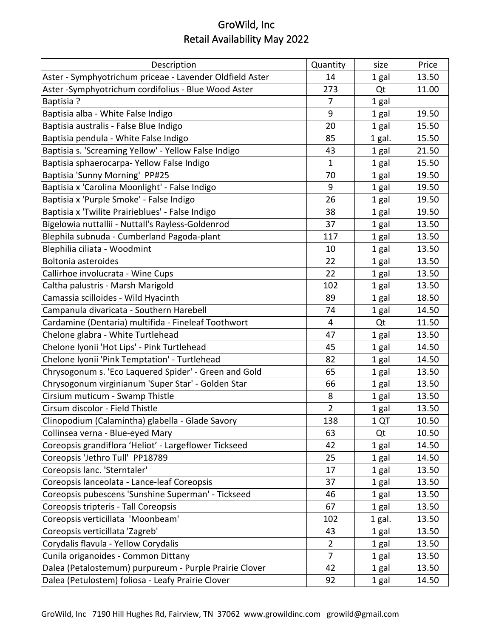| Description                                              | Quantity       | size   | Price |
|----------------------------------------------------------|----------------|--------|-------|
| Aster - Symphyotrichum priceae - Lavender Oldfield Aster | 14             | 1 gal  | 13.50 |
| Aster -Symphyotrichum cordifolius - Blue Wood Aster      | 273            | Qt     | 11.00 |
| <b>Baptisia?</b>                                         | 7              | 1 gal  |       |
| Baptisia alba - White False Indigo                       | 9              | 1 gal  | 19.50 |
| Baptisia australis - False Blue Indigo                   | 20             | 1 gal  | 15.50 |
| Baptisia pendula - White False Indigo                    | 85             | 1 gal. | 15.50 |
| Baptisia s. 'Screaming Yellow' - Yellow False Indigo     | 43             | 1 gal  | 21.50 |
| Baptisia sphaerocarpa- Yellow False Indigo               | $\mathbf{1}$   | 1 gal  | 15.50 |
| Baptisia 'Sunny Morning' PP#25                           | 70             | 1 gal  | 19.50 |
| Baptisia x 'Carolina Moonlight' - False Indigo           | 9              | 1 gal  | 19.50 |
| Baptisia x 'Purple Smoke' - False Indigo                 | 26             | 1 gal  | 19.50 |
| Baptisia x 'Twilite Prairieblues' - False Indigo         | 38             | 1 gal  | 19.50 |
| Bigelowia nuttallii - Nuttall's Rayless-Goldenrod        | 37             | 1 gal  | 13.50 |
| Blephila subnuda - Cumberland Pagoda-plant               | 117            | 1 gal  | 13.50 |
| Blephilia ciliata - Woodmint                             | 10             | 1 gal  | 13.50 |
| <b>Boltonia asteroides</b>                               | 22             | 1 gal  | 13.50 |
| Callirhoe involucrata - Wine Cups                        | 22             | 1 gal  | 13.50 |
| Caltha palustris - Marsh Marigold                        | 102            | 1 gal  | 13.50 |
| Camassia scilloides - Wild Hyacinth                      | 89             | 1 gal  | 18.50 |
| Campanula divaricata - Southern Harebell                 | 74             | 1 gal  | 14.50 |
| Cardamine (Dentaria) multifida - Fineleaf Toothwort      | 4              | Qt     | 11.50 |
| Chelone glabra - White Turtlehead                        | 47             | 1 gal  | 13.50 |
| Chelone Iyonii 'Hot Lips' - Pink Turtlehead              | 45             | 1 gal  | 14.50 |
| Chelone Iyonii 'Pink Temptation' - Turtlehead            | 82             | 1 gal  | 14.50 |
| Chrysogonum s. 'Eco Laquered Spider' - Green and Gold    | 65             | 1 gal  | 13.50 |
| Chrysogonum virginianum 'Super Star' - Golden Star       | 66             | 1 gal  | 13.50 |
| Cirsium muticum - Swamp Thistle                          | 8              | 1 gal  | 13.50 |
| Cirsum discolor - Field Thistle                          | $\overline{2}$ | 1 gal  | 13.50 |
| Clinopodium (Calamintha) glabella - Glade Savory         | 138            | 1 QT   | 10.50 |
| Collinsea verna - Blue-eyed Mary                         | 63             | Qt     | 10.50 |
| Coreopsis grandiflora 'Heliot' - Largeflower Tickseed    | 42             | 1 gal  | 14.50 |
| Coreopsis 'Jethro Tull' PP18789                          | 25             | 1 gal  | 14.50 |
| Coreopsis lanc. 'Sterntaler'                             | 17             | 1 gal  | 13.50 |
| Coreopsis lanceolata - Lance-leaf Coreopsis              | 37             | 1 gal  | 13.50 |
| Coreopsis pubescens 'Sunshine Superman' - Tickseed       | 46             | 1 gal  | 13.50 |
| Coreopsis tripteris - Tall Coreopsis                     | 67             | 1 gal  | 13.50 |
| Coreopsis verticillata 'Moonbeam'                        | 102            | 1 gal. | 13.50 |
| Coreopsis verticillata 'Zagreb'                          | 43             | 1 gal  | 13.50 |
| Corydalis flavula - Yellow Corydalis                     | $\overline{2}$ | 1 gal  | 13.50 |
| Cunila origanoides - Common Dittany                      | 7              | 1 gal  | 13.50 |
| Dalea (Petalostemum) purpureum - Purple Prairie Clover   | 42             | 1 gal  | 13.50 |
| Dalea (Petulostem) foliosa - Leafy Prairie Clover        | 92             | 1 gal  | 14.50 |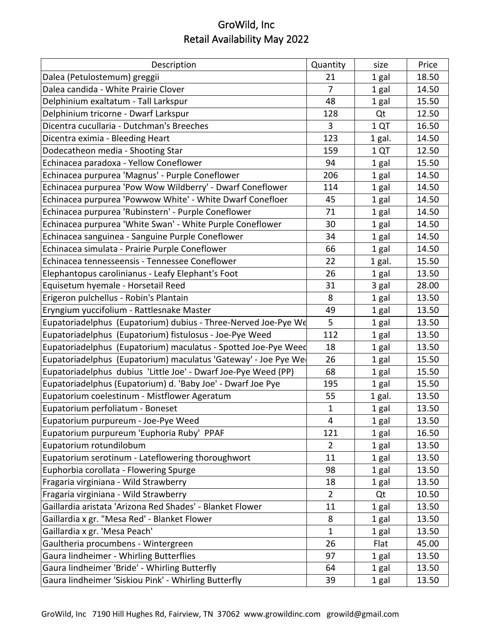| Description                                                    | Quantity       | size   | Price |
|----------------------------------------------------------------|----------------|--------|-------|
| Dalea (Petulostemum) greggii                                   | 21             | 1 gal  | 18.50 |
| Dalea candida - White Prairie Clover                           | $\overline{7}$ | 1 gal  | 14.50 |
| Delphinium exaltatum - Tall Larkspur                           | 48             | 1 gal  | 15.50 |
| Delphinium tricorne - Dwarf Larkspur                           | 128            | Qt     | 12.50 |
| Dicentra cucullaria - Dutchman's Breeches                      | 3              | 1 QT   | 16.50 |
| Dicentra eximia - Bleeding Heart                               | 123            | 1 gal. | 14.50 |
| Dodecatheon media - Shooting Star                              | 159            | 1 QT   | 12.50 |
| Echinacea paradoxa - Yellow Coneflower                         | 94             | 1 gal  | 15.50 |
| Echinacea purpurea 'Magnus' - Purple Coneflower                | 206            | 1 gal  | 14.50 |
| Echinacea purpurea 'Pow Wow Wildberry' - Dwarf Coneflower      | 114            | 1 gal  | 14.50 |
| Echinacea purpurea 'Powwow White' - White Dwarf Conefloer      | 45             | 1 gal  | 14.50 |
| Echinacea purpurea 'Rubinstern' - Purple Coneflower            | 71             | 1 gal  | 14.50 |
| Echinacea purpurea 'White Swan' - White Purple Coneflower      | 30             | 1 gal  | 14.50 |
| Echinacea sanguinea - Sanguine Purple Coneflower               | 34             | 1 gal  | 14.50 |
| Echinacea simulata - Prairie Purple Coneflower                 | 66             | 1 gal  | 14.50 |
| Echinacea tennesseensis - Tennessee Coneflower                 | 22             | 1 gal. | 15.50 |
| Elephantopus carolinianus - Leafy Elephant's Foot              | 26             | 1 gal  | 13.50 |
| Equisetum hyemale - Horsetail Reed                             | 31             | 3 gal  | 28.00 |
| Erigeron pulchellus - Robin's Plantain                         | 8              | 1 gal  | 13.50 |
| Eryngium yuccifolium - Rattlesnake Master                      | 49             | 1 gal  | 13.50 |
| Eupatoriadelphus (Eupatorium) dubius - Three-Nerved Joe-Pye We | 5              | 1 gal  | 13.50 |
| Eupatoriadelphus (Eupatorium) fistulosus - Joe-Pye Weed        | 112            | 1 gal  | 13.50 |
| Eupatoriadelphus (Eupatorium) maculatus - Spotted Joe-Pye Weed | 18             | 1 gal  | 13.50 |
| Eupatoriadelphus (Eupatorium) maculatus 'Gateway' - Joe Pye We | 26             | 1 gal  | 15.50 |
| Eupatoriadelphus dubius 'Little Joe' - Dwarf Joe-Pye Weed (PP) | 68             | 1 gal  | 15.50 |
| Eupatoriadelphus (Eupatorium) d. 'Baby Joe' - Dwarf Joe Pye    | 195            | 1 gal  | 15.50 |
| Eupatorium coelestinum - Mistflower Ageratum                   | 55             | 1 gal. | 13.50 |
| Eupatorium perfoliatum - Boneset                               | $\mathbf{1}$   | 1 gal  | 13.50 |
| Eupatorium purpureum - Joe-Pye Weed                            | $\overline{4}$ | 1 gal  | 13.50 |
| Eupatorium purpureum 'Euphoria Ruby' PPAF                      | 121            | 1 gal  | 16.50 |
| Eupatorium rotundilobum                                        | $\overline{2}$ | 1 gal  | 13.50 |
| Eupatorium serotinum - Lateflowering thoroughwort              | 11             | 1 gal  | 13.50 |
| Euphorbia corollata - Flowering Spurge                         | 98             | 1 gal  | 13.50 |
| Fragaria virginiana - Wild Strawberry                          | 18             | 1 gal  | 13.50 |
| Fragaria virginiana - Wild Strawberry                          | $\overline{2}$ | Qt     | 10.50 |
| Gaillardia aristata 'Arizona Red Shades' - Blanket Flower      | 11             | 1 gal  | 13.50 |
| Gaillardia x gr. "Mesa Red' - Blanket Flower                   | 8              | 1 gal  | 13.50 |
| Gaillardia x gr. 'Mesa Peach'                                  | 1              | 1 gal  | 13.50 |
| Gaultheria procumbens - Wintergreen                            | 26             | Flat   | 45.00 |
| Gaura lindheimer - Whirling Butterflies                        | 97             | 1 gal  | 13.50 |
| Gaura lindheimer 'Bride' - Whirling Butterfly                  | 64             | 1 gal  | 13.50 |
| Gaura lindheimer 'Siskiou Pink' - Whirling Butterfly           | 39             | 1 gal  | 13.50 |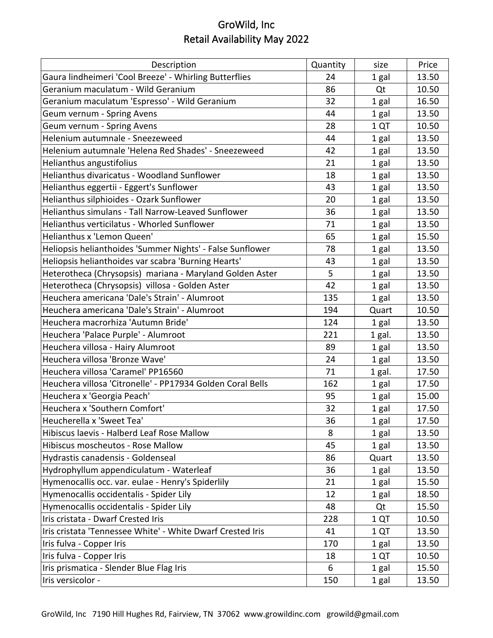| Description                                                | Quantity | size   | Price |
|------------------------------------------------------------|----------|--------|-------|
| Gaura lindheimeri 'Cool Breeze' - Whirling Butterflies     | 24       | 1 gal  | 13.50 |
| Geranium maculatum - Wild Geranium                         | 86       | Qt     | 10.50 |
| Geranium maculatum 'Espresso' - Wild Geranium              | 32       | 1 gal  | 16.50 |
| Geum vernum - Spring Avens                                 | 44       | 1 gal  | 13.50 |
| Geum vernum - Spring Avens                                 | 28       | 1 QT   | 10.50 |
| Helenium autumnale - Sneezeweed                            | 44       | 1 gal  | 13.50 |
| Helenium autumnale 'Helena Red Shades' - Sneezeweed        | 42       | 1 gal  | 13.50 |
| Helianthus angustifolius                                   | 21       | 1 gal  | 13.50 |
| Helianthus divaricatus - Woodland Sunflower                | 18       | 1 gal  | 13.50 |
| Helianthus eggertii - Eggert's Sunflower                   | 43       | 1 gal  | 13.50 |
| Helianthus silphioides - Ozark Sunflower                   | 20       | 1 gal  | 13.50 |
| Helianthus simulans - Tall Narrow-Leaved Sunflower         | 36       | 1 gal  | 13.50 |
| Helianthus verticilatus - Whorled Sunflower                | 71       | 1 gal  | 13.50 |
| Helianthus x 'Lemon Queen'                                 | 65       | 1 gal  | 15.50 |
| Heliopsis helianthoides 'Summer Nights' - False Sunflower  | 78       | 1 gal  | 13.50 |
| Heliopsis helianthoides var scabra 'Burning Hearts'        | 43       | 1 gal  | 13.50 |
| Heterotheca (Chrysopsis) mariana - Maryland Golden Aster   | 5        | 1 gal  | 13.50 |
| Heterotheca (Chrysopsis) villosa - Golden Aster            | 42       | 1 gal  | 13.50 |
| Heuchera americana 'Dale's Strain' - Alumroot              | 135      | 1 gal  | 13.50 |
| Heuchera americana 'Dale's Strain' - Alumroot              | 194      | Quart  | 10.50 |
| Heuchera macrorhiza 'Autumn Bride'                         | 124      | 1 gal  | 13.50 |
| Heuchera 'Palace Purple' - Alumroot                        | 221      | 1 gal. | 13.50 |
| Heuchera villosa - Hairy Alumroot                          | 89       | 1 gal  | 13.50 |
| Heuchera villosa 'Bronze Wave'                             | 24       | 1 gal  | 13.50 |
| Heuchera villosa 'Caramel' PP16560                         | 71       | 1 gal. | 17.50 |
| Heuchera villosa 'Citronelle' - PP17934 Golden Coral Bells | 162      | 1 gal  | 17.50 |
| Heuchera x 'Georgia Peach'                                 | 95       | 1 gal  | 15.00 |
| Heuchera x 'Southern Comfort'                              | 32       | 1 gal  | 17.50 |
| Heucherella x 'Sweet Tea'                                  | 36       | 1 gal  | 17.50 |
| Hibiscus laevis - Halberd Leaf Rose Mallow                 | 8        | 1 gal  | 13.50 |
| Hibiscus moscheutos - Rose Mallow                          | 45       | 1 gal  | 13.50 |
| Hydrastis canadensis - Goldenseal                          | 86       | Quart  | 13.50 |
| Hydrophyllum appendiculatum - Waterleaf                    | 36       | 1 gal  | 13.50 |
| Hymenocallis occ. var. eulae - Henry's Spiderlily          | 21       | 1 gal  | 15.50 |
| Hymenocallis occidentalis - Spider Lily                    | 12       | 1 gal  | 18.50 |
| Hymenocallis occidentalis - Spider Lily                    | 48       | Qt     | 15.50 |
| Iris cristata - Dwarf Crested Iris                         | 228      | 1 QT   | 10.50 |
| Iris cristata 'Tennessee White' - White Dwarf Crested Iris | 41       | 1 QT   | 13.50 |
| Iris fulva - Copper Iris                                   | 170      | 1 gal  | 13.50 |
| Iris fulva - Copper Iris                                   | 18       | 1 QT   | 10.50 |
| Iris prismatica - Slender Blue Flag Iris                   | 6        | 1 gal  | 15.50 |
| Iris versicolor -                                          | 150      | 1 gal  | 13.50 |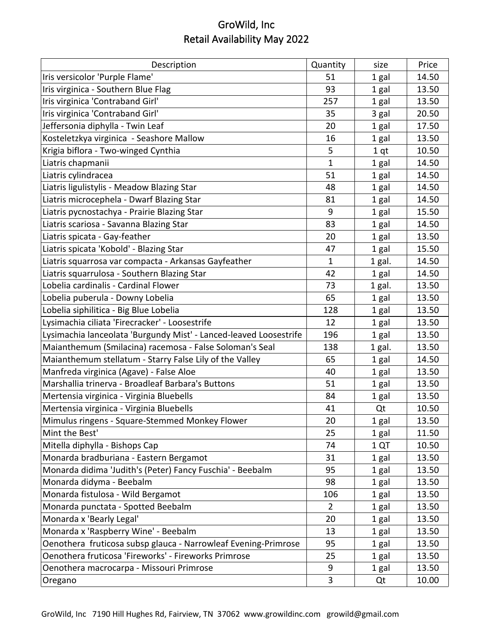| Description                                                       | Quantity     | size            | Price |
|-------------------------------------------------------------------|--------------|-----------------|-------|
| Iris versicolor 'Purple Flame'                                    | 51           | 1 gal           | 14.50 |
| Iris virginica - Southern Blue Flag                               | 93           | 1 gal           | 13.50 |
| Iris virginica 'Contraband Girl'                                  | 257          | 1 gal           | 13.50 |
| Iris virginica 'Contraband Girl'                                  | 35           | 3 gal           | 20.50 |
| Jeffersonia diphylla - Twin Leaf                                  | 20           | 1 gal           | 17.50 |
| Kosteletzkya virginica - Seashore Mallow                          | 16           | 1 gal           | 13.50 |
| Krigia biflora - Two-winged Cynthia                               | 5            | 1 <sub>qt</sub> | 10.50 |
| Liatris chapmanii                                                 | 1            | 1 gal           | 14.50 |
| Liatris cylindracea                                               | 51           | 1 gal           | 14.50 |
| Liatris ligulistylis - Meadow Blazing Star                        | 48           | 1 gal           | 14.50 |
| Liatris microcephela - Dwarf Blazing Star                         | 81           | 1 gal           | 14.50 |
| Liatris pycnostachya - Prairie Blazing Star                       | 9            | 1 gal           | 15.50 |
| Liatris scariosa - Savanna Blazing Star                           | 83           | 1 gal           | 14.50 |
| Liatris spicata - Gay-feather                                     | 20           | 1 gal           | 13.50 |
| Liatris spicata 'Kobold' - Blazing Star                           | 47           | 1 gal           | 15.50 |
| Liatris squarrosa var compacta - Arkansas Gayfeather              | $\mathbf{1}$ | 1 gal.          | 14.50 |
| Liatris squarrulosa - Southern Blazing Star                       | 42           | 1 gal           | 14.50 |
| Lobelia cardinalis - Cardinal Flower                              | 73           | 1 gal.          | 13.50 |
| Lobelia puberula - Downy Lobelia                                  | 65           | 1 gal           | 13.50 |
| Lobelia siphilitica - Big Blue Lobelia                            | 128          | 1 gal           | 13.50 |
| Lysimachia ciliata 'Firecracker' - Loosestrife                    | 12           | 1 gal           | 13.50 |
| Lysimachia lanceolata 'Burgundy Mist' - Lanced-leaved Loosestrife | 196          | 1 gal           | 13.50 |
| Maianthemum (Smilacina) racemosa - False Soloman's Seal           | 138          | 1 gal.          | 13.50 |
| Maianthemum stellatum - Starry False Lily of the Valley           | 65           | 1 gal           | 14.50 |
| Manfreda virginica (Agave) - False Aloe                           | 40           | 1 gal           | 13.50 |
| Marshallia trinerva - Broadleaf Barbara's Buttons                 | 51           | 1 gal           | 13.50 |
| Mertensia virginica - Virginia Bluebells                          | 84           | 1 gal           | 13.50 |
| Mertensia virginica - Virginia Bluebells                          | 41           | Qt              | 10.50 |
| Mimulus ringens - Square-Stemmed Monkey Flower                    | 20           | 1 gal           | 13.50 |
| Mint the Best'                                                    | 25           | 1 gal           | 11.50 |
| Mitella diphylla - Bishops Cap                                    | 74           | 1 QT            | 10.50 |
| Monarda bradburiana - Eastern Bergamot                            | 31           | 1 gal           | 13.50 |
| Monarda didima 'Judith's (Peter) Fancy Fuschia' - Beebalm         | 95           | 1 gal           | 13.50 |
| Monarda didyma - Beebalm                                          | 98           | 1 gal           | 13.50 |
| Monarda fistulosa - Wild Bergamot                                 | 106          | 1 gal           | 13.50 |
| Monarda punctata - Spotted Beebalm                                | 2            | 1 gal           | 13.50 |
| Monarda x 'Bearly Legal'                                          | 20           | 1 gal           | 13.50 |
| Monarda x 'Raspberry Wine' - Beebalm                              | 13           | 1 gal           | 13.50 |
| Oenothera fruticosa subsp glauca - Narrowleaf Evening-Primrose    | 95           | 1 gal           | 13.50 |
| Oenothera fruticosa 'Fireworks' - Fireworks Primrose              | 25           | 1 gal           | 13.50 |
| Oenothera macrocarpa - Missouri Primrose                          | 9            | 1 gal           | 13.50 |
| Oregano                                                           | 3            | Qt              | 10.00 |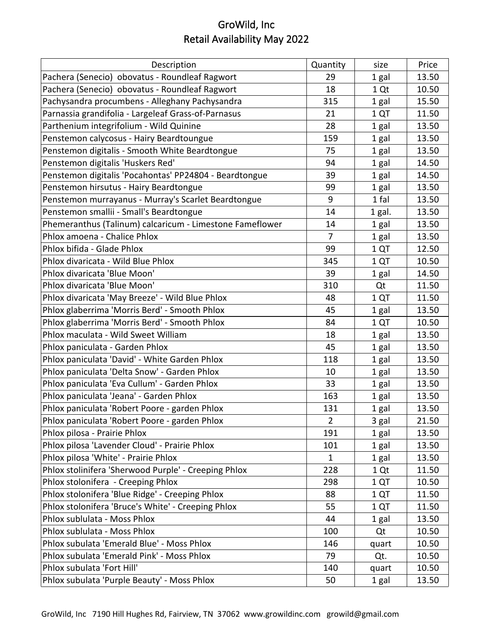| Description                                              | Quantity       | size   | Price |
|----------------------------------------------------------|----------------|--------|-------|
| Pachera (Senecio) obovatus - Roundleaf Ragwort           | 29             | 1 gal  | 13.50 |
| Pachera (Senecio) obovatus - Roundleaf Ragwort           | 18             | 1 Qt   | 10.50 |
| Pachysandra procumbens - Alleghany Pachysandra           | 315            | 1 gal  | 15.50 |
| Parnassia grandifolia - Largeleaf Grass-of-Parnasus      | 21             | 1 QT   | 11.50 |
| Parthenium integrifolium - Wild Quinine                  | 28             | 1 gal  | 13.50 |
| Penstemon calycosus - Hairy Beardtoungue                 | 159            | 1 gal  | 13.50 |
| Penstemon digitalis - Smooth White Beardtongue           | 75             | 1 gal  | 13.50 |
| Penstemon digitalis 'Huskers Red'                        | 94             | 1 gal  | 14.50 |
| Penstemon digitalis 'Pocahontas' PP24804 - Beardtongue   | 39             | 1 gal  | 14.50 |
| Penstemon hirsutus - Hairy Beardtongue                   | 99             | 1 gal  | 13.50 |
| Penstemon murrayanus - Murray's Scarlet Beardtongue      | 9              | 1 fal  | 13.50 |
| Penstemon smallii - Small's Beardtongue                  | 14             | 1 gal. | 13.50 |
| Phemeranthus (Talinum) calcaricum - Limestone Fameflower | 14             | 1 gal  | 13.50 |
| Phlox amoena - Chalice Phlox                             | $\overline{7}$ | 1 gal  | 13.50 |
| Phlox bifida - Glade Phlox                               | 99             | 1 QT   | 12.50 |
| Phlox divaricata - Wild Blue Phlox                       | 345            | 1 QT   | 10.50 |
| Phlox divaricata 'Blue Moon'                             | 39             | 1 gal  | 14.50 |
| Phlox divaricata 'Blue Moon'                             | 310            | Qt     | 11.50 |
| Phlox divaricata 'May Breeze' - Wild Blue Phlox          | 48             | 1 QT   | 11.50 |
| Phlox glaberrima 'Morris Berd' - Smooth Phlox            | 45             | 1 gal  | 13.50 |
| Phlox glaberrima 'Morris Berd' - Smooth Phlox            | 84             | 1 QT   | 10.50 |
| Phlox maculata - Wild Sweet William                      | 18             | 1 gal  | 13.50 |
| Phlox paniculata - Garden Phlox                          | 45             | 1 gal  | 13.50 |
| Phlox paniculata 'David' - White Garden Phlox            | 118            | 1 gal  | 13.50 |
| Phlox paniculata 'Delta Snow' - Garden Phlox             | 10             | 1 gal  | 13.50 |
| Phlox paniculata 'Eva Cullum' - Garden Phlox             | 33             | 1 gal  | 13.50 |
| Phlox paniculata 'Jeana' - Garden Phlox                  | 163            | 1 gal  | 13.50 |
| Phlox paniculata 'Robert Poore - garden Phlox            | 131            | 1 gal  | 13.50 |
| Phlox paniculata 'Robert Poore - garden Phlox            | $\overline{2}$ | 3 gal  | 21.50 |
| Phlox pilosa - Prairie Phlox                             | 191            | 1 gal  | 13.50 |
| Phlox pilosa 'Lavender Cloud' - Prairie Phlox            | 101            | 1 gal  | 13.50 |
| Phlox pilosa 'White' - Prairie Phlox                     | 1              | 1 gal  | 13.50 |
| Phlox stolinifera 'Sherwood Purple' - Creeping Phlox     | 228            | 1 Qt   | 11.50 |
| Phlox stolonifera - Creeping Phlox                       | 298            | 1 QT   | 10.50 |
| Phlox stolonifera 'Blue Ridge' - Creeping Phlox          | 88             | 1 QT   | 11.50 |
| Phlox stolonifera 'Bruce's White' - Creeping Phlox       | 55             | 1 QT   | 11.50 |
| Phlox sublulata - Moss Phlox                             | 44             | 1 gal  | 13.50 |
| Phlox sublulata - Moss Phlox                             | 100            | Qt     | 10.50 |
| Phlox subulata 'Emerald Blue' - Moss Phlox               | 146            | quart  | 10.50 |
| Phlox subulata 'Emerald Pink' - Moss Phlox               | 79             | Qt.    | 10.50 |
| Phlox subulata 'Fort Hill'                               | 140            | quart  | 10.50 |
| Phlox subulata 'Purple Beauty' - Moss Phlox              | 50             | 1 gal  | 13.50 |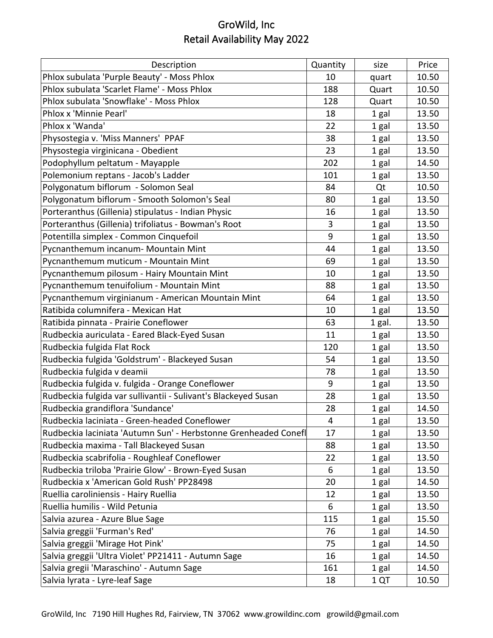| Description                                                     | Quantity       | size   | Price |
|-----------------------------------------------------------------|----------------|--------|-------|
| Phlox subulata 'Purple Beauty' - Moss Phlox                     | 10             | quart  | 10.50 |
| Phlox subulata 'Scarlet Flame' - Moss Phlox                     | 188            | Quart  | 10.50 |
| Phlox subulata 'Snowflake' - Moss Phlox                         | 128            | Quart  | 10.50 |
| Phlox x 'Minnie Pearl'                                          | 18             | 1 gal  | 13.50 |
| Phlox x 'Wanda'                                                 | 22             | 1 gal  | 13.50 |
| Physostegia v. 'Miss Manners' PPAF                              | 38             | 1 gal  | 13.50 |
| Physostegia virginicana - Obedient                              | 23             | 1 gal  | 13.50 |
| Podophyllum peltatum - Mayapple                                 | 202            | 1 gal  | 14.50 |
| Polemonium reptans - Jacob's Ladder                             | 101            | 1 gal  | 13.50 |
| Polygonatum biflorum - Solomon Seal                             | 84             | Qt     | 10.50 |
| Polygonatum biflorum - Smooth Solomon's Seal                    | 80             | 1 gal  | 13.50 |
| Porteranthus (Gillenia) stipulatus - Indian Physic              | 16             | 1 gal  | 13.50 |
| Porteranthus (Gillenia) trifoliatus - Bowman's Root             | 3              | 1 gal  | 13.50 |
| Potentilla simplex - Common Cinquefoil                          | 9              | 1 gal  | 13.50 |
| Pycnanthemum incanum- Mountain Mint                             | 44             | 1 gal  | 13.50 |
| Pycnanthemum muticum - Mountain Mint                            | 69             | 1 gal  | 13.50 |
| Pycnanthemum pilosum - Hairy Mountain Mint                      | 10             | 1 gal  | 13.50 |
| Pycnanthemum tenuifolium - Mountain Mint                        | 88             | 1 gal  | 13.50 |
| Pycnanthemum virginianum - American Mountain Mint               | 64             | 1 gal  | 13.50 |
| Ratibida columnifera - Mexican Hat                              | 10             | 1 gal  | 13.50 |
| Ratibida pinnata - Prairie Coneflower                           | 63             | 1 gal. | 13.50 |
| Rudbeckia auriculata - Eared Black-Eyed Susan                   | 11             | 1 gal  | 13.50 |
| Rudbeckia fulgida Flat Rock                                     | 120            | 1 gal  | 13.50 |
| Rudbeckia fulgida 'Goldstrum' - Blackeyed Susan                 | 54             | 1 gal  | 13.50 |
| Rudbeckia fulgida v deamii                                      | 78             | 1 gal  | 13.50 |
| Rudbeckia fulgida v. fulgida - Orange Coneflower                | 9              | 1 gal  | 13.50 |
| Rudbeckia fulgida var sullivantii - Sulivant's Blackeyed Susan  | 28             | 1 gal  | 13.50 |
| Rudbeckia grandiflora 'Sundance'                                | 28             | 1 gal  | 14.50 |
| Rudbeckia laciniata - Green-headed Coneflower                   | $\overline{4}$ | 1 gal  | 13.50 |
| Rudbeckia laciniata 'Autumn Sun' - Herbstonne Grenheaded Conefl | 17             | 1 gal  | 13.50 |
| Rudbeckia maxima - Tall Blackeyed Susan                         | 88             | 1 gal  | 13.50 |
| Rudbeckia scabrifolia - Roughleaf Coneflower                    | 22             | 1 gal  | 13.50 |
| Rudbeckia triloba 'Prairie Glow' - Brown-Eyed Susan             | 6              | 1 gal  | 13.50 |
| Rudbeckia x 'American Gold Rush' PP28498                        | 20             | 1 gal  | 14.50 |
| Ruellia caroliniensis - Hairy Ruellia                           | 12             | 1 gal  | 13.50 |
| Ruellia humilis - Wild Petunia                                  | 6              | 1 gal  | 13.50 |
| Salvia azurea - Azure Blue Sage                                 | 115            | 1 gal  | 15.50 |
| Salvia greggii 'Furman's Red'                                   | 76             | 1 gal  | 14.50 |
| Salvia greggii 'Mirage Hot Pink'                                | 75             | 1 gal  | 14.50 |
| Salvia greggii 'Ultra Violet' PP21411 - Autumn Sage             | 16             | 1 gal  | 14.50 |
| Salvia gregii 'Maraschino' - Autumn Sage                        | 161            | 1 gal  | 14.50 |
| Salvia lyrata - Lyre-leaf Sage                                  | 18             | 1 QT   | 10.50 |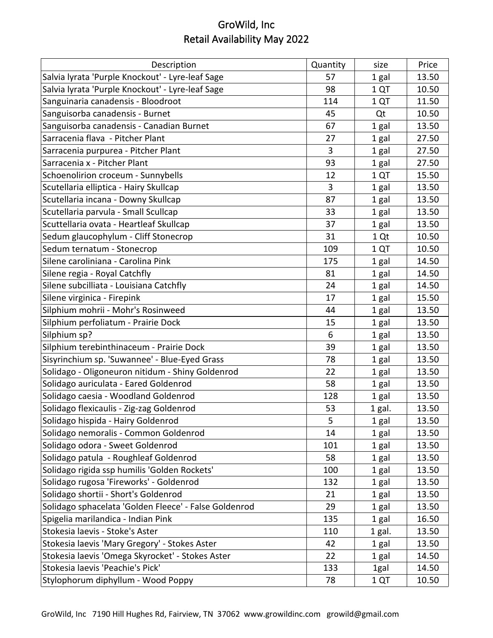| Description                                           | Quantity | size   | Price |
|-------------------------------------------------------|----------|--------|-------|
| Salvia lyrata 'Purple Knockout' - Lyre-leaf Sage      | 57       | 1 gal  | 13.50 |
| Salvia lyrata 'Purple Knockout' - Lyre-leaf Sage      | 98       | 1 QT   | 10.50 |
| Sanguinaria canadensis - Bloodroot                    | 114      | 1 QT   | 11.50 |
| Sanguisorba canadensis - Burnet                       | 45       | Qt     | 10.50 |
| Sanguisorba canadensis - Canadian Burnet              | 67       | 1 gal  | 13.50 |
| Sarracenia flava - Pitcher Plant                      | 27       | 1 gal  | 27.50 |
| Sarracenia purpurea - Pitcher Plant                   | 3        | 1 gal  | 27.50 |
| Sarracenia x - Pitcher Plant                          | 93       | 1 gal  | 27.50 |
| Schoenolirion croceum - Sunnybells                    | 12       | 1 QT   | 15.50 |
| Scutellaria elliptica - Hairy Skullcap                | 3        | 1 gal  | 13.50 |
| Scutellaria incana - Downy Skullcap                   | 87       | 1 gal  | 13.50 |
| Scutellaria parvula - Small Scullcap                  | 33       | 1 gal  | 13.50 |
| Scuttellaria ovata - Heartleaf Skullcap               | 37       | 1 gal  | 13.50 |
| Sedum glaucophylum - Cliff Stonecrop                  | 31       | 1 Qt   | 10.50 |
| Sedum ternatum - Stonecrop                            | 109      | 1 QT   | 10.50 |
| Silene caroliniana - Carolina Pink                    | 175      | 1 gal  | 14.50 |
| Silene regia - Royal Catchfly                         | 81       | 1 gal  | 14.50 |
| Silene subcilliata - Louisiana Catchfly               | 24       | 1 gal  | 14.50 |
| Silene virginica - Firepink                           | 17       | 1 gal  | 15.50 |
| Silphium mohrii - Mohr's Rosinweed                    | 44       | 1 gal  | 13.50 |
| Silphium perfoliatum - Prairie Dock                   | 15       | 1 gal  | 13.50 |
| Silphium sp?                                          | 6        | 1 gal  | 13.50 |
| Silphium terebinthinaceum - Prairie Dock              | 39       | 1 gal  | 13.50 |
| Sisyrinchium sp. 'Suwannee' - Blue-Eyed Grass         | 78       | 1 gal  | 13.50 |
| Solidago - Oligoneuron nitidum - Shiny Goldenrod      | 22       | 1 gal  | 13.50 |
| Solidago auriculata - Eared Goldenrod                 | 58       | 1 gal  | 13.50 |
| Solidago caesia - Woodland Goldenrod                  | 128      | 1 gal  | 13.50 |
| Solidago flexicaulis - Zig-zag Goldenrod              | 53       | 1 gal. | 13.50 |
| Solidago hispida - Hairy Goldenrod                    | 5        | 1 gal  | 13.50 |
| Solidago nemoralis - Common Goldenrod                 | 14       | 1 gal  | 13.50 |
| Solidago odora - Sweet Goldenrod                      | 101      | 1 gal  | 13.50 |
| Solidago patula - Roughleaf Goldenrod                 | 58       | 1 gal  | 13.50 |
| Solidago rigida ssp humilis 'Golden Rockets'          | 100      | 1 gal  | 13.50 |
| Solidago rugosa 'Fireworks' - Goldenrod               | 132      | 1 gal  | 13.50 |
| Solidago shortii - Short's Goldenrod                  | 21       | 1 gal  | 13.50 |
| Solidago sphacelata 'Golden Fleece' - False Goldenrod | 29       | 1 gal  | 13.50 |
| Spigelia marilandica - Indian Pink                    | 135      | 1 gal  | 16.50 |
| Stokesia laevis - Stoke's Aster                       | 110      | 1 gal. | 13.50 |
| Stokesia laevis 'Mary Gregory' - Stokes Aster         | 42       | 1 gal  | 13.50 |
| Stokesia laevis 'Omega Skyrocket' - Stokes Aster      | 22       | 1 gal  | 14.50 |
| Stokesia laevis 'Peachie's Pick'                      | 133      | 1gal   | 14.50 |
| Stylophorum diphyllum - Wood Poppy                    | 78       | 1 QT   | 10.50 |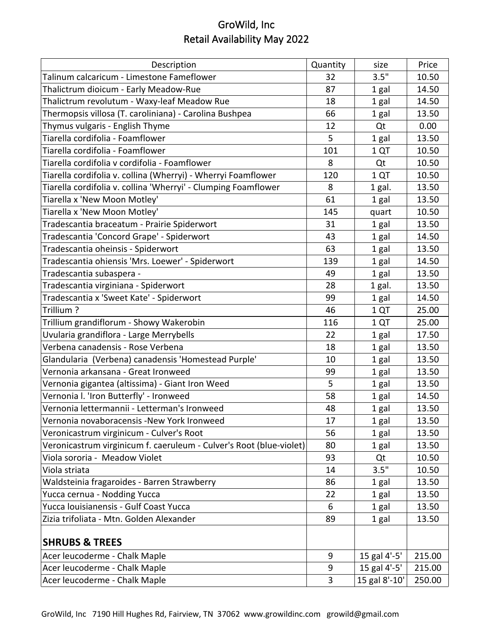| Description                                                         | Quantity | size          | Price  |
|---------------------------------------------------------------------|----------|---------------|--------|
| Talinum calcaricum - Limestone Fameflower                           | 32       | 3.5"          | 10.50  |
| Thalictrum dioicum - Early Meadow-Rue                               | 87       | 1 gal         | 14.50  |
| Thalictrum revolutum - Waxy-leaf Meadow Rue                         | 18       | 1 gal         | 14.50  |
| Thermopsis villosa (T. caroliniana) - Carolina Bushpea              | 66       | 1 gal         | 13.50  |
| Thymus vulgaris - English Thyme                                     | 12       | Qt            | 0.00   |
| Tiarella cordifolia - Foamflower                                    | 5        | 1 gal         | 13.50  |
| Tiarella cordifolia - Foamflower                                    | 101      | 1 QT          | 10.50  |
| Tiarella cordifolia v cordifolia - Foamflower                       | 8        | Qt            | 10.50  |
| Tiarella cordifolia v. collina (Wherryi) - Wherryi Foamflower       | 120      | 1 QT          | 10.50  |
| Tiarella cordifolia v. collina 'Wherryi' - Clumping Foamflower      | 8        | 1 gal.        | 13.50  |
| Tiarella x 'New Moon Motley'                                        | 61       | 1 gal         | 13.50  |
| Tiarella x 'New Moon Motley'                                        | 145      | quart         | 10.50  |
| Tradescantia braceatum - Prairie Spiderwort                         | 31       | 1 gal         | 13.50  |
| Tradescantia 'Concord Grape' - Spiderwort                           | 43       | 1 gal         | 14.50  |
| Tradescantia oheinsis - Spiderwort                                  | 63       | 1 gal         | 13.50  |
| Tradescantia ohiensis 'Mrs. Loewer' - Spiderwort                    | 139      | 1 gal         | 14.50  |
| Tradescantia subaspera -                                            | 49       | 1 gal         | 13.50  |
| Tradescantia virginiana - Spiderwort                                | 28       | 1 gal.        | 13.50  |
| Tradescantia x 'Sweet Kate' - Spiderwort                            | 99       | 1 gal         | 14.50  |
| Trillium?                                                           | 46       | 1QT           | 25.00  |
| Trillium grandiflorum - Showy Wakerobin                             | 116      | 1 QT          | 25.00  |
| Uvularia grandiflora - Large Merrybells                             | 22       | 1 gal         | 17.50  |
| Verbena canadensis - Rose Verbena                                   | 18       | 1 gal         | 13.50  |
| Glandularia (Verbena) canadensis 'Homestead Purple'                 | 10       | 1 gal         | 13.50  |
| Vernonia arkansana - Great Ironweed                                 | 99       | 1 gal         | 13.50  |
| Vernonia gigantea (altissima) - Giant Iron Weed                     | 5        | 1 gal         | 13.50  |
| Vernonia I. 'Iron Butterfly' - Ironweed                             | 58       | 1 gal         | 14.50  |
| Vernonia lettermannii - Letterman's Ironweed                        | 48       | 1 gal         | 13.50  |
| Vernonia novaboracensis -New York Ironweed                          | 17       | 1 gal         | 13.50  |
| Veronicastrum virginicum - Culver's Root                            | 56       | 1 gal         | 13.50  |
| Veronicastrum virginicum f. caeruleum - Culver's Root (blue-violet) | 80       | 1 gal         | 13.50  |
| Viola sororia - Meadow Violet                                       | 93       | Qt            | 10.50  |
| Viola striata                                                       | 14       | 3.5"          | 10.50  |
| Waldsteinia fragaroides - Barren Strawberry                         | 86       | 1 gal         | 13.50  |
| Yucca cernua - Nodding Yucca                                        | 22       | 1 gal         | 13.50  |
| Yucca louisianensis - Gulf Coast Yucca                              | 6        | 1 gal         | 13.50  |
| Zizia trifoliata - Mtn. Golden Alexander                            | 89       | 1 gal         | 13.50  |
| <b>SHRUBS &amp; TREES</b>                                           |          |               |        |
| Acer leucoderme - Chalk Maple                                       | 9        | 15 gal 4'-5'  | 215.00 |
| Acer leucoderme - Chalk Maple                                       | 9        | 15 gal 4'-5'  | 215.00 |
| Acer leucoderme - Chalk Maple                                       | 3        | 15 gal 8'-10' | 250.00 |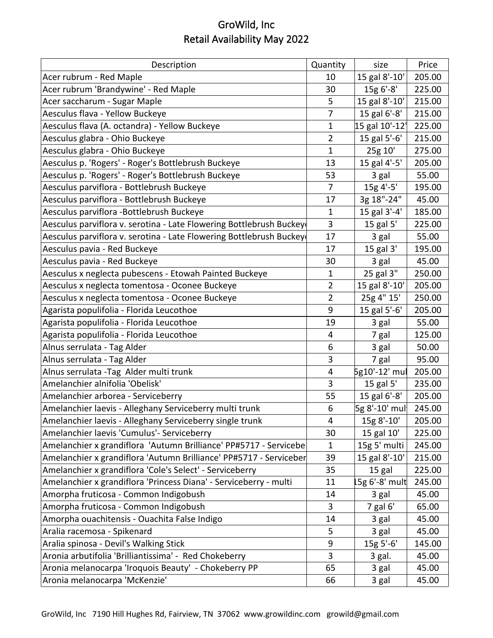| Description                                                         | Quantity       | size             | Price  |
|---------------------------------------------------------------------|----------------|------------------|--------|
| Acer rubrum - Red Maple                                             | 10             | 15 gal 8'-10'    | 205.00 |
| Acer rubrum 'Brandywine' - Red Maple                                | 30             | 15g 6'-8'        | 225.00 |
| Acer saccharum - Sugar Maple                                        | 5              | 15 gal 8'-10'    | 215.00 |
| Aesculus flava - Yellow Buckeye                                     | 7              | 15 gal 6'-8'     | 215.00 |
| Aesculus flava (A. octandra) - Yellow Buckeye                       | 1              | 15 gal 10'-12'   | 225.00 |
| Aesculus glabra - Ohio Buckeye                                      | $\overline{2}$ | 15 gal 5'-6'     | 215.00 |
| Aesculus glabra - Ohio Buckeye                                      | 1              | 25g 10'          | 275.00 |
| Aesculus p. 'Rogers' - Roger's Bottlebrush Buckeye                  | 13             | 15 gal 4'-5'     | 205.00 |
| Aesculus p. 'Rogers' - Roger's Bottlebrush Buckeye                  | 53             | 3 gal            | 55.00  |
| Aesculus parviflora - Bottlebrush Buckeye                           | $\overline{7}$ | 15g 4'-5'        | 195.00 |
| Aesculus parviflora - Bottlebrush Buckeye                           | 17             | 3g 18"-24"       | 45.00  |
| Aesculus parviflora - Bottlebrush Buckeye                           | $\mathbf{1}$   | 15 gal 3'-4'     | 185.00 |
| Aesculus parviflora v. serotina - Late Flowering Bottlebrush Buckey | 3              | 15 gal 5'        | 225.00 |
| Aesculus parviflora v. serotina - Late Flowering Bottlebrush Buckey | 17             | 3 gal            | 55.00  |
| Aesculus pavia - Red Buckeye                                        | 17             | 15 gal 3'        | 195.00 |
| Aesculus pavia - Red Buckeye                                        | 30             | 3 gal            | 45.00  |
| Aesculus x neglecta pubescens - Etowah Painted Buckeye              | 1              | 25 gal 3"        | 250.00 |
| Aesculus x neglecta tomentosa - Oconee Buckeye                      | $\overline{2}$ | 15 gal 8'-10'    | 205.00 |
| Aesculus x neglecta tomentosa - Oconee Buckeye                      | $\overline{2}$ | 25g 4" 15'       | 250.00 |
| Agarista populifolia - Florida Leucothoe                            | 9              | 15 gal 5'-6'     | 205.00 |
| Agarista populifolia - Florida Leucothoe                            | 19             | 3 gal            | 55.00  |
| Agarista populifolia - Florida Leucothoe                            | 4              | 7 gal            | 125.00 |
| Alnus serrulata - Tag Alder                                         | 6              | 3 gal            | 50.00  |
| Alnus serrulata - Tag Alder                                         | 3              | 7 gal            | 95.00  |
| Alnus serrulata - Tag Alder multi trunk                             | 4              | 5g10'-12' mul    | 205.00 |
| Amelanchier alnifolia 'Obelisk'                                     | 3              | 15 gal 5'        | 235.00 |
| Amelanchier arborea - Serviceberry                                  | 55             | 15 gal 6'-8'     | 205.00 |
| Amelanchier laevis - Alleghany Serviceberry multi trunk             | 6              | 5g 8'-10' mul    | 245.00 |
| Amelanchier laevis - Alleghany Serviceberry single trunk            | 4              | $15g 8'-10'$     | 205.00 |
| Amelanchier laevis 'Cumulus'- Serviceberry                          | 30             | 15 gal 10'       | 225.00 |
| Amelanchier x grandiflora 'Autumn Brilliance' PP#5717 - Servicebe   | $\mathbf 1$    | 15g 5' multi     | 245.00 |
| Amelanchier x grandiflora 'Autumn Brilliance' PP#5717 - Serviceber  | 39             | 15 gal 8'-10'    | 215.00 |
| Amelanchier x grandiflora 'Cole's Select' - Serviceberry            | 35             | 15 gal           | 225.00 |
| Amelanchier x grandiflora 'Princess Diana' - Serviceberry - multi   | 11             | $15g$ 6'-8' mult | 245.00 |
| Amorpha fruticosa - Common Indigobush                               | 14             | 3 gal            | 45.00  |
| Amorpha fruticosa - Common Indigobush                               | 3              | 7 gal 6'         | 65.00  |
| Amorpha ouachitensis - Ouachita False Indigo                        | 14             | 3 gal            | 45.00  |
| Aralia racemosa - Spikenard                                         | 5              | 3 gal            | 45.00  |
| Aralia spinosa - Devil's Walking Stick                              | 9              | 15g 5'-6'        | 145.00 |
| Aronia arbutifolia 'Brilliantissima' - Red Chokeberry               | 3              | 3 gal.           | 45.00  |
| Aronia melanocarpa 'Iroquois Beauty' - Chokeberry PP                | 65             | 3 gal            | 45.00  |
| Aronia melanocarpa 'McKenzie'                                       | 66             | 3 gal            | 45.00  |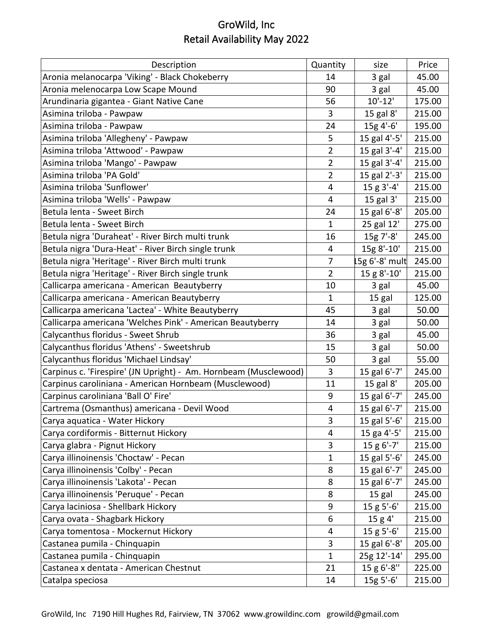| Description                                                      | Quantity       | size           | Price  |
|------------------------------------------------------------------|----------------|----------------|--------|
| Aronia melanocarpa 'Viking' - Black Chokeberry                   | 14             | 3 gal          | 45.00  |
| Aronia melenocarpa Low Scape Mound                               | 90             | 3 gal          | 45.00  |
| Arundinaria gigantea - Giant Native Cane                         | 56             | $10'-12'$      | 175.00 |
| Asimina triloba - Pawpaw                                         | 3              | 15 gal 8'      | 215.00 |
| Asimina triloba - Pawpaw                                         | 24             | 15g 4'-6'      | 195.00 |
| Asimina triloba 'Allegheny' - Pawpaw                             | 5              | 15 gal 4'-5'   | 215.00 |
| Asimina triloba 'Attwood' - Pawpaw                               | $\overline{2}$ | 15 gal 3'-4'   | 215.00 |
| Asimina triloba 'Mango' - Pawpaw                                 | $\overline{2}$ | 15 gal 3'-4'   | 215.00 |
| Asimina triloba 'PA Gold'                                        | $\overline{2}$ | 15 gal 2'-3'   | 215.00 |
| Asimina triloba 'Sunflower'                                      | $\overline{4}$ | 15 g 3'-4'     | 215.00 |
| Asimina triloba 'Wells' - Pawpaw                                 | 4              | 15 gal 3'      | 215.00 |
| Betula lenta - Sweet Birch                                       | 24             | 15 gal 6'-8'   | 205.00 |
| Betula lenta - Sweet Birch                                       | $\mathbf{1}$   | 25 gal 12'     | 275.00 |
| Betula nigra 'Duraheat' - River Birch multi trunk                | 16             | 15g 7'-8'      | 245.00 |
| Betula nigra 'Dura-Heat' - River Birch single trunk              | 4              | 15g 8'-10'     | 215.00 |
| Betula nigra 'Heritage' - River Birch multi trunk                | 7              | 15g 6'-8' mult | 245.00 |
| Betula nigra 'Heritage' - River Birch single trunk               | $\overline{2}$ | 15 g 8'-10'    | 215.00 |
| Callicarpa americana - American Beautyberry                      | 10             | 3 gal          | 45.00  |
| Callicarpa americana - American Beautyberry                      | $\mathbf{1}$   | 15 gal         | 125.00 |
| Callicarpa americana 'Lactea' - White Beautyberry                | 45             | 3 gal          | 50.00  |
| Callicarpa americana 'Welches Pink' - American Beautyberry       | 14             | 3 gal          | 50.00  |
| Calycanthus floridus - Sweet Shrub                               | 36             | 3 gal          | 45.00  |
| Calycanthus floridus 'Athens' - Sweetshrub                       | 15             | 3 gal          | 50.00  |
| Calycanthus floridus 'Michael Lindsay'                           | 50             | 3 gal          | 55.00  |
| Carpinus c. 'Firespire' (JN Upright) - Am. Hornbeam (Musclewood) | 3              | 15 gal 6'-7'   | 245.00 |
| Carpinus caroliniana - American Hornbeam (Musclewood)            | 11             | 15 gal 8'      | 205.00 |
| Carpinus caroliniana 'Ball O' Fire'                              | 9              | 15 gal 6'-7'   | 245.00 |
| Cartrema (Osmanthus) americana - Devil Wood                      | 4              | 15 gal 6'-7'   | 215.00 |
| Carya aquatica - Water Hickory                                   | 3              | 15 gal 5'-6'   | 215.00 |
| Carya cordiformis - Bitternut Hickory                            | 4              | 15 ga 4'-5'    | 215.00 |
| Carya glabra - Pignut Hickory                                    | 3              | $15 g 6'$ -7'  | 215.00 |
| Carya illinoinensis 'Choctaw' - Pecan                            | $\mathbf{1}$   | 15 gal 5'-6'   | 245.00 |
| Carya illinoinensis 'Colby' - Pecan                              | 8              | 15 gal 6'-7'   | 245.00 |
| Carya illinoinensis 'Lakota' - Pecan                             | 8              | 15 gal 6'-7'   | 245.00 |
| Carya illinoinensis 'Peruque' - Pecan                            | 8              | 15 gal         | 245.00 |
| Carya laciniosa - Shellbark Hickory                              | 9              | $15 g 5'-6'$   | 215.00 |
| Carya ovata - Shagbark Hickory                                   | 6              | 15 g 4'        | 215.00 |
| Carya tomentosa - Mockernut Hickory                              | 4              | $15 g 5'-6'$   | 215.00 |
| Castanea pumila - Chinquapin                                     | 3              | 15 gal 6'-8'   | 205.00 |
| Castanea pumila - Chinquapin                                     | $\mathbf{1}$   | 25g 12'-14'    | 295.00 |
| Castanea x dentata - American Chestnut                           | 21             | 15 g 6'-8"     | 225.00 |
| Catalpa speciosa                                                 | 14             | 15g 5'-6'      | 215.00 |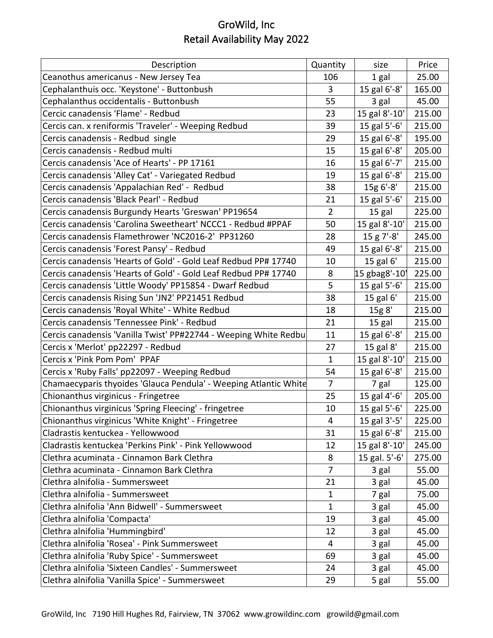| Description                                                      | Quantity       | size           | Price  |
|------------------------------------------------------------------|----------------|----------------|--------|
| Ceanothus americanus - New Jersey Tea                            | 106            | 1 gal          | 25.00  |
| Cephalanthuis occ. 'Keystone' - Buttonbush                       | 3              | 15 gal 6'-8'   | 165.00 |
| Cephalanthus occidentalis - Buttonbush                           | 55             | 3 gal          | 45.00  |
| Cercic canadensis 'Flame' - Redbud                               | 23             | 15 gal 8'-10'  | 215.00 |
| Cercis can. x reniformis 'Traveler' - Weeping Redbud             | 39             | 15 gal 5'-6'   | 215.00 |
| Cercis canadensis - Redbud single                                | 29             | 15 gal 6'-8'   | 195.00 |
| Cercis canadensis - Redbud multi                                 | 15             | 15 gal 6'-8'   | 205.00 |
| Cercis canadensis 'Ace of Hearts' - PP 17161                     | 16             | 15 gal 6'-7'   | 215.00 |
| Cercis canadensis 'Alley Cat' - Variegated Redbud                | 19             | 15 gal 6'-8'   | 215.00 |
| Cercis canadensis 'Appalachian Red' - Redbud                     | 38             | 15g 6'-8'      | 215.00 |
| Cercis canadensis 'Black Pearl' - Redbud                         | 21             | 15 gal 5'-6'   | 215.00 |
| Cercis canadensis Burgundy Hearts 'Greswan' PP19654              | $\overline{2}$ | 15 gal         | 225.00 |
| Cercis canadensis 'Carolina Sweetheart' NCCC1 - Redbud #PPAF     | 50             | 15 gal 8'-10'  | 215.00 |
| Cercis canadensis Flamethrower 'NC2016-2' PP31260                | 28             | $15 g 7' - 8'$ | 245.00 |
| Cercis canadensis 'Forest Pansy' - Redbud                        | 49             | 15 gal 6'-8'   | 215.00 |
| Cercis canadensis 'Hearts of Gold' - Gold Leaf Redbud PP# 17740  | 10             | 15 gal 6'      | 215.00 |
| Cercis canadensis 'Hearts of Gold' - Gold Leaf Redbud PP# 17740  | 8              | 15 gbag8'-10'  | 225.00 |
| Cercis canadensis 'Little Woody' PP15854 - Dwarf Redbud          | 5              | 15 gal 5'-6'   | 215.00 |
| Cercis canadensis Rising Sun 'JN2' PP21451 Redbud                | 38             | 15 gal 6'      | 215.00 |
| Cercis canadensis 'Royal White' - White Redbud                   | 18             | 15g 8'         | 215.00 |
| Cercis canadensis 'Tennessee Pink' - Redbud                      | 21             | 15 gal         | 215.00 |
| Cercis canadensis 'Vanilla Twist' PP#22744 - Weeping White Redbu | 11             | 15 gal 6'-8'   | 215.00 |
| Cercis x 'Merlot' pp22297 - Redbud                               | 27             | 15 gal 8'      | 215.00 |
| Cercis x 'Pink Pom Pom' PPAF                                     | $\mathbf{1}$   | 15 gal 8'-10'  | 215.00 |
| Cercis x 'Ruby Falls' pp22097 - Weeping Redbud                   | 54             | 15 gal 6'-8'   | 215.00 |
| Chamaecyparis thyoides 'Glauca Pendula' - Weeping Atlantic White | $\overline{7}$ | 7 gal          | 125.00 |
| Chionanthus virginicus - Fringetree                              | 25             | 15 gal 4'-6'   | 205.00 |
| Chionanthus virginicus 'Spring Fleecing' - fringetree            | 10             | 15 gal 5'-6'   | 225.00 |
| Chionanthus virginicus 'White Knight' - Fringetree               | 4              | 15 gal 3'-5'   | 225.00 |
| Cladrastis kentuckea - Yellowwood                                | 31             | 15 gal 6'-8'   | 215.00 |
| Cladrastis kentuckea 'Perkins Pink' - Pink Yellowwood            | 12             | 15 gal 8'-10'  | 245.00 |
| Clethra acuminata - Cinnamon Bark Clethra                        | 8              | 15 gal. 5'-6'  | 275.00 |
| Clethra acuminata - Cinnamon Bark Clethra                        | $\overline{7}$ | 3 gal          | 55.00  |
| Clethra alnifolia - Summersweet                                  | 21             | 3 gal          | 45.00  |
| Clethra alnifolia - Summersweet                                  | 1              | 7 gal          | 75.00  |
| Clethra alnifolia 'Ann Bidwell' - Summersweet                    | 1              | 3 gal          | 45.00  |
| Clethra alnifolia 'Compacta'                                     | 19             | 3 gal          | 45.00  |
| Clethra alnifolia 'Hummingbird'                                  | 12             | 3 gal          | 45.00  |
| Clethra alnifolia 'Rosea' - Pink Summersweet                     | 4              | 3 gal          | 45.00  |
| Clethra alnifolia 'Ruby Spice' - Summersweet                     | 69             | 3 gal          | 45.00  |
| Clethra alnifolia 'Sixteen Candles' - Summersweet                | 24             | 3 gal          | 45.00  |
| Clethra alnifolia 'Vanilla Spice' - Summersweet                  | 29             | 5 gal          | 55.00  |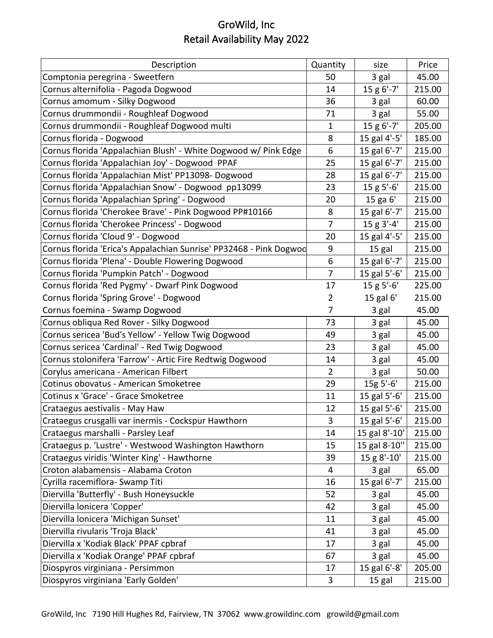| Description                                                        | Quantity       | size           | Price  |
|--------------------------------------------------------------------|----------------|----------------|--------|
| Comptonia peregrina - Sweetfern                                    | 50             | 3 gal          | 45.00  |
| Cornus alternifolia - Pagoda Dogwood                               | 14             | 15 g 6'-7'     | 215.00 |
| Cornus amomum - Silky Dogwood                                      | 36             | 3 gal          | 60.00  |
| Cornus drummondii - Roughleaf Dogwood                              | 71             | 3 gal          | 55.00  |
| Cornus drummondii - Roughleaf Dogwood multi                        | $\mathbf{1}$   | 15 g 6'-7'     | 205.00 |
| Cornus florida - Dogwood                                           | 8              | 15 gal 4'-5'   | 185.00 |
| Cornus florida 'Appalachian Blush' - White Dogwood w/ Pink Edge    | 6              | 15 gal 6'-7'   | 215.00 |
| Cornus florida 'Appalachian Joy' - Dogwood PPAF                    | 25             | 15 gal 6'-7'   | 215.00 |
| Cornus florida 'Appalachian Mist' PP13098- Dogwood                 | 28             | 15 gal 6'-7'   | 215.00 |
| Cornus florida 'Appalachian Snow' - Dogwood pp13099                | 23             | $15 g 5'-6'$   | 215.00 |
| Cornus florida 'Appalachian Spring' - Dogwood                      | 20             | 15 ga 6'       | 215.00 |
| Cornus florida 'Cherokee Brave' - Pink Dogwood PP#10166            | 8              | 15 gal 6'-7'   | 215.00 |
| Cornus florida 'Cherokee Princess' - Dogwood                       | $\overline{7}$ | $15 g 3' - 4'$ | 215.00 |
| Cornus florida 'Cloud 9' - Dogwood                                 | 20             | 15 gal 4'-5'   | 215.00 |
| Cornus florida 'Erica's Appalachian Sunrise' PP32468 - Pink Dogwod | 9              | 15 gal         | 215.00 |
| Cornus florida 'Plena' - Double Flowering Dogwood                  | 6              | 15 gal 6'-7'   | 215.00 |
| Cornus florida 'Pumpkin Patch' - Dogwood                           | 7              | 15 gal 5'-6'   | 215.00 |
| Cornus florida 'Red Pygmy' - Dwarf Pink Dogwood                    | 17             | $15 g 5'-6'$   | 225.00 |
| Cornus florida 'Spring Grove' - Dogwood                            | $\overline{2}$ | 15 gal 6'      | 215.00 |
| Cornus foemina - Swamp Dogwood                                     | 7              | 3 gal          | 45.00  |
| Cornus obliqua Red Rover - Silky Dogwood                           | 73             | 3 gal          | 45.00  |
| Cornus sericea 'Bud's Yellow' - Yellow Twig Dogwood                | 49             | 3 gal          | 45.00  |
| Cornus sericea 'Cardinal' - Red Twig Dogwood                       | 23             | 3 gal          | 45.00  |
| Cornus stolonifera 'Farrow' - Artic Fire Redtwig Dogwood           | 14             | 3 gal          | 45.00  |
| Corylus americana - American Filbert                               | $\overline{2}$ | 3 gal          | 50.00  |
| Cotinus obovatus - American Smoketree                              | 29             | 15g 5'-6'      | 215.00 |
| Cotinus x 'Grace' - Grace Smoketree                                | 11             | 15 gal 5'-6'   | 215.00 |
| Crataegus aestivalis - May Haw                                     | 12             | 15 gal 5'-6'   | 215.00 |
| Crataegus crusgalli var inermis - Cockspur Hawthorn                | 3              | 15 gal 5'-6'   | 215.00 |
| Crataegus marshalli - Parsley Leaf                                 | 14             | 15 gal 8'-10'  | 215.00 |
| Crataegus p. 'Lustre' - Westwood Washington Hawthorn               | 15             | 15 gal 8-10"   | 215.00 |
| Crataegus viridis 'Winter King' - Hawthorne                        | 39             | 15 g 8'-10'    | 215.00 |
| Croton alabamensis - Alabama Croton                                | $\overline{4}$ | 3 gal          | 65.00  |
| Cyrilla racemiflora- Swamp Titi                                    | 16             | 15 gal 6'-7'   | 215.00 |
| Diervilla 'Butterfly' - Bush Honeysuckle                           | 52             | 3 gal          | 45.00  |
| Diervilla lonicera 'Copper'                                        | 42             | 3 gal          | 45.00  |
| Diervilla lonicera 'Michigan Sunset'                               | 11             | 3 gal          | 45.00  |
| Diervilla rivularis 'Troja Black'                                  | 41             | 3 gal          | 45.00  |
| Diervilla x 'Kodiak Black' PPAF cpbraf                             | 17             | 3 gal          | 45.00  |
| Diervilla x 'Kodiak Orange' PPAF cpbraf                            | 67             | 3 gal          | 45.00  |
| Diospyros virginiana - Persimmon                                   | 17             | 15 gal 6'-8'   | 205.00 |
| Diospyros virginiana 'Early Golden'                                | 3              | 15 gal         | 215.00 |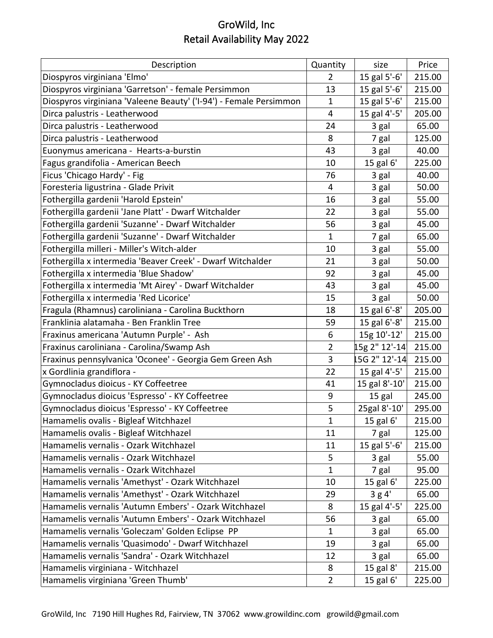| Description                                                       | Quantity       | size          | Price  |
|-------------------------------------------------------------------|----------------|---------------|--------|
| Diospyros virginiana 'Elmo'                                       | $\overline{2}$ | 15 gal 5'-6'  | 215.00 |
| Diospyros virginiana 'Garretson' - female Persimmon               | 13             | 15 gal 5'-6'  | 215.00 |
| Diospyros virginiana 'Valeene Beauty' ('I-94') - Female Persimmon | $\mathbf{1}$   | 15 gal 5'-6'  | 215.00 |
| Dirca palustris - Leatherwood                                     | 4              | 15 gal 4'-5'  | 205.00 |
| Dirca palustris - Leatherwood                                     | 24             | 3 gal         | 65.00  |
| Dirca palustris - Leatherwood                                     | 8              | 7 gal         | 125.00 |
| Euonymus americana - Hearts-a-burstin                             | 43             | 3 gal         | 40.00  |
| Fagus grandifolia - American Beech                                | 10             | 15 gal 6'     | 225.00 |
| Ficus 'Chicago Hardy' - Fig                                       | 76             | 3 gal         | 40.00  |
| Foresteria ligustrina - Glade Privit                              | 4              | 3 gal         | 50.00  |
| Fothergilla gardenii 'Harold Epstein'                             | 16             | 3 gal         | 55.00  |
| Fothergilla gardenii 'Jane Platt' - Dwarf Witchalder              | 22             | 3 gal         | 55.00  |
| Fothergilla gardenii 'Suzanne' - Dwarf Witchalder                 | 56             | 3 gal         | 45.00  |
| Fothergilla gardenii 'Suzanne' - Dwarf Witchalder                 | 1              | 7 gal         | 65.00  |
| Fothergilla milleri - Miller's Witch-alder                        | 10             | 3 gal         | 55.00  |
| Fothergilla x intermedia 'Beaver Creek' - Dwarf Witchalder        | 21             | 3 gal         | 50.00  |
| Fothergilla x intermedia 'Blue Shadow'                            | 92             | 3 gal         | 45.00  |
| Fothergilla x intermedia 'Mt Airey' - Dwarf Witchalder            | 43             | 3 gal         | 45.00  |
| Fothergilla x intermedia 'Red Licorice'                           | 15             | 3 gal         | 50.00  |
| Fragula (Rhamnus) caroliniana - Carolina Buckthorn                | 18             | 15 gal 6'-8'  | 205.00 |
| Franklinia alatamaha - Ben Franklin Tree                          | 59             | 15 gal 6'-8'  | 215.00 |
| Fraxinus americana 'Autumn Purple' - Ash                          | 6              | 15g 10'-12'   | 215.00 |
| Fraxinus caroliniana - Carolina/Swamp Ash                         | $\overline{2}$ | 15g 2" 12'-14 | 215.00 |
| Fraxinus pennsylvanica 'Oconee' - Georgia Gem Green Ash           | 3              | 15G 2" 12'-14 | 215.00 |
| x Gordlinia grandiflora -                                         | 22             | 15 gal 4'-5'  | 215.00 |
| Gymnocladus dioicus - KY Coffeetree                               | 41             | 15 gal 8'-10' | 215.00 |
| Gymnocladus dioicus 'Espresso' - KY Coffeetree                    | 9              | 15 gal        | 245.00 |
| Gymnocladus dioicus 'Espresso' - KY Coffeetree                    | 5              | 25gal 8'-10'  | 295.00 |
| Hamamelis ovalis - Bigleaf Witchhazel                             | 1              | 15 gal 6'     | 215.00 |
| Hamamelis ovalis - Bigleaf Witchhazel                             | 11             | 7 gal         | 125.00 |
| Hamamelis vernalis - Ozark Witchhazel                             | 11             | 15 gal 5'-6'  | 215.00 |
| Hamamelis vernalis - Ozark Witchhazel                             | 5              | 3 gal         | 55.00  |
| Hamamelis vernalis - Ozark Witchhazel                             | $\mathbf{1}$   | 7 gal         | 95.00  |
| Hamamelis vernalis 'Amethyst' - Ozark Witchhazel                  | 10             | 15 gal 6'     | 225.00 |
| Hamamelis vernalis 'Amethyst' - Ozark Witchhazel                  | 29             | 3g4'          | 65.00  |
| Hamamelis vernalis 'Autumn Embers' - Ozark Witchhazel             | 8              | 15 gal 4'-5'  | 225.00 |
| Hamamelis vernalis 'Autumn Embers' - Ozark Witchhazel             | 56             | 3 gal         | 65.00  |
| Hamamelis vernalis 'Goleczam' Golden Eclipse PP                   | $\mathbf{1}$   | 3 gal         | 65.00  |
| Hamamelis vernalis 'Quasimodo' - Dwarf Witchhazel                 | 19             | 3 gal         | 65.00  |
| Hamamelis vernalis 'Sandra' - Ozark Witchhazel                    | 12             | 3 gal         | 65.00  |
| Hamamelis virginiana - Witchhazel                                 | 8              | 15 gal 8'     | 215.00 |
| Hamamelis virginiana 'Green Thumb'                                | $\overline{2}$ | 15 gal 6'     | 225.00 |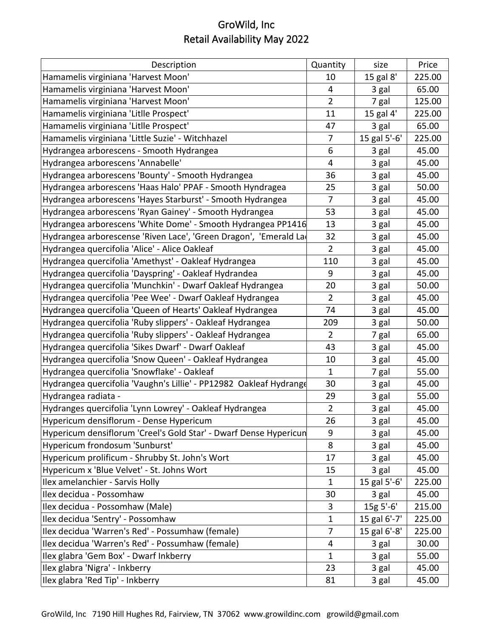| Description                                                        | Quantity       | size         | Price  |
|--------------------------------------------------------------------|----------------|--------------|--------|
| Hamamelis virginiana 'Harvest Moon'                                | 10             | 15 gal 8'    | 225.00 |
| Hamamelis virginiana 'Harvest Moon'                                | 4              | 3 gal        | 65.00  |
| Hamamelis virginiana 'Harvest Moon'                                | $\overline{2}$ | 7 gal        | 125.00 |
| Hamamelis virginiana 'Litlle Prospect'                             | 11             | 15 gal 4'    | 225.00 |
| Hamamelis virginiana 'Litlle Prospect'                             | 47             | 3 gal        | 65.00  |
| Hamamelis virginiana 'Little Suzie' - Witchhazel                   | 7              | 15 gal 5'-6' | 225.00 |
| Hydrangea arborescens - Smooth Hydrangea                           | 6              | 3 gal        | 45.00  |
| Hydrangea arborescens 'Annabelle'                                  | 4              | 3 gal        | 45.00  |
| Hydrangea arborescens 'Bounty' - Smooth Hydrangea                  | 36             | 3 gal        | 45.00  |
| Hydrangea arborescens 'Haas Halo' PPAF - Smooth Hyndragea          | 25             | 3 gal        | 50.00  |
| Hydrangea arborescens 'Hayes Starburst' - Smooth Hydrangea         | 7              | 3 gal        | 45.00  |
| Hydrangea arborescens 'Ryan Gainey' - Smooth Hydrangea             | 53             | 3 gal        | 45.00  |
| Hydrangea arborescens 'White Dome' - Smooth Hydrangea PP1416       | 13             | 3 gal        | 45.00  |
| Hydrangea arborescense 'Riven Lace', 'Green Dragon', 'Emerald La   | 32             | 3 gal        | 45.00  |
| Hydrangea quercifolia 'Alice' - Alice Oakleaf                      | $\overline{2}$ | 3 gal        | 45.00  |
| Hydrangea quercifolia 'Amethyst' - Oakleaf Hydrangea               | 110            | 3 gal        | 45.00  |
| Hydrangea quercifolia 'Dayspring' - Oakleaf Hydrandea              | 9              | 3 gal        | 45.00  |
| Hydrangea quercifolia 'Munchkin' - Dwarf Oakleaf Hydrangea         | 20             | 3 gal        | 50.00  |
| Hydrangea quercifolia 'Pee Wee' - Dwarf Oakleaf Hydrangea          | $\overline{2}$ | 3 gal        | 45.00  |
| Hydrangea quercifolia 'Queen of Hearts' Oakleaf Hydrangea          | 74             | 3 gal        | 45.00  |
| Hydrangea quercifolia 'Ruby slippers' - Oakleaf Hydrangea          | 209            | 3 gal        | 50.00  |
| Hydrangea quercifolia 'Ruby slippers' - Oakleaf Hydrangea          | $\overline{2}$ | 7 gal        | 65.00  |
| Hydrangea quercifolia 'Sikes Dwarf' - Dwarf Oakleaf                | 43             | 3 gal        | 45.00  |
| Hydrangea quercifolia 'Snow Queen' - Oakleaf Hydrangea             | 10             | 3 gal        | 45.00  |
| Hydrangea quercifolia 'Snowflake' - Oakleaf                        | 1              | 7 gal        | 55.00  |
| Hydrangea quercifolia 'Vaughn's Lillie' - PP12982 Oakleaf Hydrange | 30             | 3 gal        | 45.00  |
| Hydrangea radiata -                                                | 29             | 3 gal        | 55.00  |
| Hydranges quercifolia 'Lynn Lowrey' - Oakleaf Hydrangea            | $\overline{2}$ | 3 gal        | 45.00  |
| Hypericum densiflorum - Dense Hypericum                            | 26             | 3 gal        | 45.00  |
| Hypericum densiflorum 'Creel's Gold Star' - Dwarf Dense Hypericun  | 9              | 3 gal        | 45.00  |
| Hypericum frondosum 'Sunburst'                                     | 8              | 3 gal        | 45.00  |
| Hypericum prolificum - Shrubby St. John's Wort                     | 17             | 3 gal        | 45.00  |
| Hypericum x 'Blue Velvet' - St. Johns Wort                         | 15             | 3 gal        | 45.00  |
| Ilex amelanchier - Sarvis Holly                                    | 1              | 15 gal 5'-6' | 225.00 |
| Ilex decidua - Possomhaw                                           | 30             | 3 gal        | 45.00  |
| Ilex decidua - Possomhaw (Male)                                    | 3              | 15g 5'-6'    | 215.00 |
| Ilex decidua 'Sentry' - Possomhaw                                  | $\mathbf 1$    | 15 gal 6'-7' | 225.00 |
| Ilex decidua 'Warren's Red' - Possumhaw (female)                   | 7              | 15 gal 6'-8' | 225.00 |
| Ilex decidua 'Warren's Red' - Possumhaw (female)                   | 4              | 3 gal        | 30.00  |
| Ilex glabra 'Gem Box' - Dwarf Inkberry                             | 1              | 3 gal        | 55.00  |
| Ilex glabra 'Nigra' - Inkberry                                     | 23             | 3 gal        | 45.00  |
| Ilex glabra 'Red Tip' - Inkberry                                   | 81             | 3 gal        | 45.00  |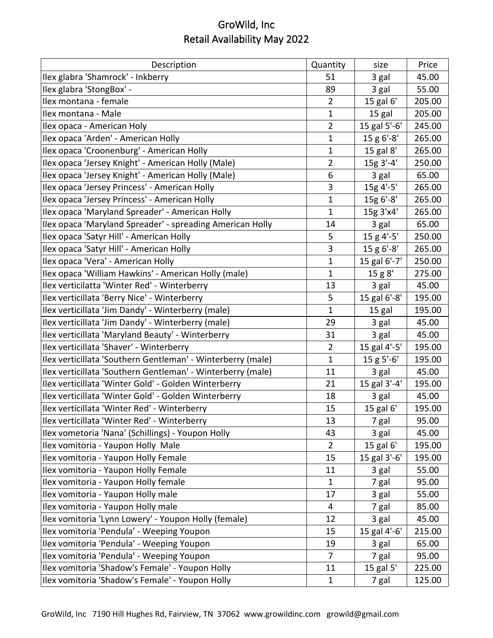| Description                                                 | Quantity       | size         | Price  |
|-------------------------------------------------------------|----------------|--------------|--------|
| Ilex glabra 'Shamrock' - Inkberry                           | 51             | 3 gal        | 45.00  |
| Ilex glabra 'StongBox' -                                    | 89             | 3 gal        | 55.00  |
| Ilex montana - female                                       | $\overline{2}$ | 15 gal 6'    | 205.00 |
| Ilex montana - Male                                         | $\mathbf{1}$   | 15 gal       | 205.00 |
| Ilex opaca - American Holy                                  | $\overline{2}$ | 15 gal 5'-6' | 245.00 |
| Ilex opaca 'Arden' - American Holly                         | $\mathbf{1}$   | 15 g 6'-8'   | 265.00 |
| Ilex opaca 'Croonenburg' - American Holly                   | 1              | 15 gal 8'    | 265.00 |
| Ilex opaca 'Jersey Knight' - American Holly (Male)          | $\overline{2}$ | 15g 3'-4'    | 250.00 |
| Ilex opaca 'Jersey Knight' - American Holly (Male)          | 6              | 3 gal        | 65.00  |
| Ilex opaca 'Jersey Princess' - American Holly               | 3              | 15g 4'-5'    | 265.00 |
| Ilex opaca 'Jersey Princess' - American Holly               | $\mathbf 1$    | 15g 6'-8'    | 265.00 |
| Ilex opaca 'Maryland Spreader' - American Holly             | $\mathbf{1}$   | 15g 3'x4'    | 265.00 |
| Ilex opaca 'Maryland Spreader' - spreading American Holly   | 14             | 3 gal        | 65.00  |
| Ilex opaca 'Satyr Hill' - American Holly                    | 5              | 15 g 4'-5'   | 250.00 |
| Ilex opaca 'Satyr Hill' - American Holly                    | 3              | 15 g 6'-8'   | 265.00 |
| Ilex opaca 'Vera' - American Holly                          | $\mathbf{1}$   | 15 gal 6'-7' | 250.00 |
| Ilex opaca 'William Hawkins' - American Holly (male)        | $\mathbf{1}$   | 15 g 8'      | 275.00 |
| Ilex verticilatta 'Winter Red' - Winterberry                | 13             | 3 gal        | 45.00  |
| Ilex verticillata 'Berry Nice' - Winterberry                | 5              | 15 gal 6'-8' | 195.00 |
| Ilex verticillata 'Jim Dandy' - Winterberry (male)          | $\mathbf 1$    | 15 gal       | 195.00 |
| Ilex verticillata 'Jim Dandy' - Winterberry (male)          | 29             | 3 gal        | 45.00  |
| Ilex verticillata 'Maryland Beauty' - Winterberry           | 31             | 3 gal        | 45.00  |
| Ilex verticillata 'Shaver' - Winterberry                    | $\overline{2}$ | 15 gal 4'-5' | 195.00 |
| Ilex verticillata 'Southern Gentleman' - Winterberry (male) | $\mathbf{1}$   | 15 g 5'-6'   | 195.00 |
| Ilex verticillata 'Southern Gentleman' - Winterberry (male) | 11             | 3 gal        | 45.00  |
| Ilex verticillata 'Winter Gold' - Golden Winterberry        | 21             | 15 gal 3'-4' | 195.00 |
| Ilex verticillata 'Winter Gold' - Golden Winterberry        | 18             | 3 gal        | 45.00  |
| Ilex verticillata 'Winter Red' - Winterberry                | 15             | 15 gal 6'    | 195.00 |
| Ilex verticillata 'Winter Red' - Winterberry                | 13             | 7 gal        | 95.00  |
| Ilex vometoria 'Nana' (Schillings) - Youpon Holly           | 43             | 3 gal        | 45.00  |
| Ilex vomitoria - Yaupon Holly Male                          | $\overline{2}$ | 15 gal 6'    | 195.00 |
| Ilex vomitoria - Yaupon Holly Female                        | 15             | 15 gal 3'-6' | 195.00 |
| Ilex vomitoria - Yaupon Holly Female                        | 11             | 3 gal        | 55.00  |
| Ilex vomitoria - Yaupon Holly female                        | $\mathbf{1}$   | 7 gal        | 95.00  |
| Ilex vomitoria - Yaupon Holly male                          | 17             | 3 gal        | 55.00  |
| Ilex vomitoria - Yaupon Holly male                          | 4              | 7 gal        | 85.00  |
| Ilex vomitoria 'Lynn Lowery' - Youpon Holly (female)        | 12             | 3 gal        | 45.00  |
| Ilex vomitoria 'Pendula' - Weeping Youpon                   | 15             | 15 gal 4'-6' | 215.00 |
| Ilex vomitoria 'Pendula' - Weeping Youpon                   | 19             | 3 gal        | 65.00  |
| Ilex vomitoria 'Pendula' - Weeping Youpon                   | 7              | 7 gal        | 95.00  |
| Ilex vomitoria 'Shadow's Female' - Youpon Holly             | 11             | 15 gal 5'    | 225.00 |
| Ilex vomitoria 'Shadow's Female' - Youpon Holly             | $\mathbf 1$    | 7 gal        | 125.00 |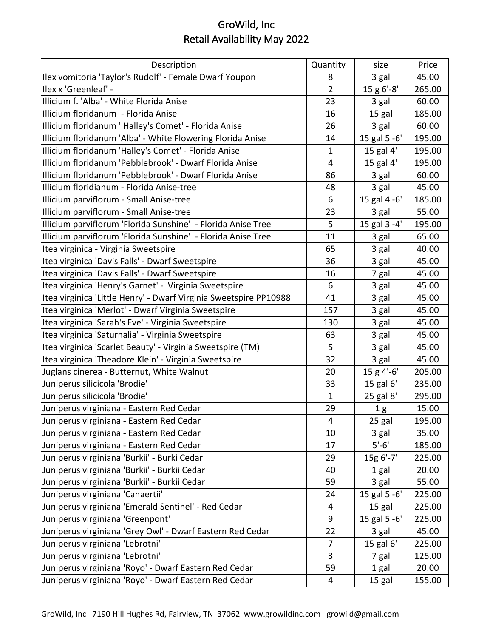| Description                                                       | Quantity       | size           | Price  |
|-------------------------------------------------------------------|----------------|----------------|--------|
| Ilex vomitoria 'Taylor's Rudolf' - Female Dwarf Youpon            | 8              | 3 gal          | 45.00  |
| Ilex x 'Greenleaf' -                                              | $\overline{2}$ | 15 g 6'-8'     | 265.00 |
| Illicium f. 'Alba' - White Florida Anise                          | 23             | 3 gal          | 60.00  |
| Illicium floridanum - Florida Anise                               | 16             | 15 gal         | 185.00 |
| Illicium floridanum ' Halley's Comet' - Florida Anise             | 26             | 3 gal          | 60.00  |
| Illicium floridanum 'Alba' - White Flowering Florida Anise        | 14             | 15 gal 5'-6'   | 195.00 |
| Illicium floridanum 'Halley's Comet' - Florida Anise              | $\mathbf{1}$   | 15 gal 4'      | 195.00 |
| Illicium floridanum 'Pebblebrook' - Dwarf Florida Anise           | 4              | 15 gal 4'      | 195.00 |
| Illicium floridanum 'Pebblebrook' - Dwarf Florida Anise           | 86             | 3 gal          | 60.00  |
| Illicium floridianum - Florida Anise-tree                         | 48             | 3 gal          | 45.00  |
| Illicium parviflorum - Small Anise-tree                           | 6              | 15 gal 4'-6'   | 185.00 |
| Illicium parviflorum - Small Anise-tree                           | 23             | 3 gal          | 55.00  |
| Illicium parviflorum 'Florida Sunshine' - Florida Anise Tree      | 5              | 15 gal 3'-4'   | 195.00 |
| Illicium parviflorum 'Florida Sunshine' - Florida Anise Tree      | 11             | 3 gal          | 65.00  |
| Itea virginica - Virginia Sweetspire                              | 65             | 3 gal          | 40.00  |
| Itea virginica 'Davis Falls' - Dwarf Sweetspire                   | 36             | 3 gal          | 45.00  |
| Itea virginica 'Davis Falls' - Dwarf Sweetspire                   | 16             | 7 gal          | 45.00  |
| Itea virginica 'Henry's Garnet' - Virginia Sweetspire             | 6              | 3 gal          | 45.00  |
| Itea virginica 'Little Henry' - Dwarf Virginia Sweetspire PP10988 | 41             | 3 gal          | 45.00  |
| Itea virginica 'Merlot' - Dwarf Virginia Sweetspire               | 157            | 3 gal          | 45.00  |
| Itea virginica 'Sarah's Eve' - Virginia Sweetspire                | 130            | 3 gal          | 45.00  |
| Itea virginica 'Saturnalia' - Virginia Sweetspire                 | 63             | 3 gal          | 45.00  |
| Itea virginica 'Scarlet Beauty' - Virginia Sweetspire (TM)        | 5              | 3 gal          | 45.00  |
| Itea virginica 'Theadore Klein' - Virginia Sweetspire             | 32             | 3 gal          | 45.00  |
| Juglans cinerea - Butternut, White Walnut                         | 20             | $15 g 4'-6'$   | 205.00 |
| Juniperus silicicola 'Brodie'                                     | 33             | 15 gal 6'      | 235.00 |
| Juniperus silicicola 'Brodie'                                     | $\mathbf{1}$   | 25 gal 8'      | 295.00 |
| Juniperus virginiana - Eastern Red Cedar                          | 29             | 1 <sub>g</sub> | 15.00  |
| Juniperus virginiana - Eastern Red Cedar                          | $\overline{4}$ | 25 gal         | 195.00 |
| Juniperus virginiana - Eastern Red Cedar                          | 10             | 3 gal          | 35.00  |
| Juniperus virginiana - Eastern Red Cedar                          | 17             | $5' - 6'$      | 185.00 |
| Juniperus virginiana 'Burkii' - Burki Cedar                       | 29             | 15g 6'-7'      | 225.00 |
| Juniperus virginiana 'Burkii' - Burkii Cedar                      | 40             | 1 gal          | 20.00  |
| Juniperus virginiana 'Burkii' - Burkii Cedar                      | 59             | 3 gal          | 55.00  |
| Juniperus virginiana 'Canaertii'                                  | 24             | 15 gal 5'-6'   | 225.00 |
| Juniperus virginiana 'Emerald Sentinel' - Red Cedar               | 4              | 15 gal         | 225.00 |
| Juniperus virginiana 'Greenpont'                                  | 9              | 15 gal 5'-6'   | 225.00 |
| Juniperus virginiana 'Grey Owl' - Dwarf Eastern Red Cedar         | 22             | 3 gal          | 45.00  |
| Juniperus virginiana 'Lebrotni'                                   | 7              | 15 gal 6'      | 225.00 |
| Juniperus virginiana 'Lebrotni'                                   | 3              | 7 gal          | 125.00 |
| Juniperus virginiana 'Royo' - Dwarf Eastern Red Cedar             | 59             | 1 gal          | 20.00  |
| Juniperus virginiana 'Royo' - Dwarf Eastern Red Cedar             | 4              | 15 gal         | 155.00 |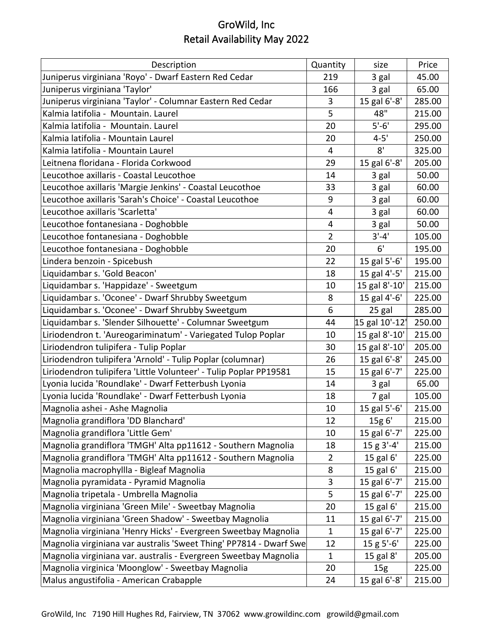| Description                                                        | Quantity       | size            | Price  |
|--------------------------------------------------------------------|----------------|-----------------|--------|
| Juniperus virginiana 'Royo' - Dwarf Eastern Red Cedar              | 219            | 3 gal           | 45.00  |
| Juniperus virginiana 'Taylor'                                      | 166            | 3 gal           | 65.00  |
| Juniperus virginiana 'Taylor' - Columnar Eastern Red Cedar         | 3              | 15 gal 6'-8'    | 285.00 |
| Kalmia latifolia - Mountain, Laurel                                | 5              | 48"             | 215.00 |
| Kalmia latifolia - Mountain. Laurel                                | 20             | $5'-6'$         | 295.00 |
| Kalmia latifolia - Mountain Laurel                                 | 20             | $4 - 5'$        | 250.00 |
| Kalmia latifolia - Mountain Laurel                                 | 4              | 8'              | 325.00 |
| Leitnena floridana - Florida Corkwood                              | 29             | 15 gal 6'-8'    | 205.00 |
| Leucothoe axillaris - Coastal Leucothoe                            | 14             | 3 gal           | 50.00  |
| Leucothoe axillaris 'Margie Jenkins' - Coastal Leucothoe           | 33             | 3 gal           | 60.00  |
| Leucothoe axillaris 'Sarah's Choice' - Coastal Leucothoe           | 9              | 3 gal           | 60.00  |
| Leucothoe axillaris 'Scarletta'                                    | 4              | 3 gal           | 60.00  |
| Leucothoe fontanesiana - Doghobble                                 | 4              | 3 gal           | 50.00  |
| Leucothoe fontanesiana - Doghobble                                 | $\overline{2}$ | $3'-4'$         | 105.00 |
| Leucothoe fontanesiana - Doghobble                                 | 20             | 6'              | 195.00 |
| Lindera benzoin - Spicebush                                        | 22             | 15 gal 5'-6'    | 195.00 |
| Liquidambar s. 'Gold Beacon'                                       | 18             | 15 gal 4'-5'    | 215.00 |
| Liquidambar s. 'Happidaze' - Sweetgum                              | 10             | 15 gal 8'-10'   | 215.00 |
| Liquidambar s. 'Oconee' - Dwarf Shrubby Sweetgum                   | 8              | 15 gal 4'-6'    | 225.00 |
| Liquidambar s. 'Oconee' - Dwarf Shrubby Sweetgum                   | 6              | 25 gal          | 285.00 |
| Liquidambar s. 'Slender Silhouette' - Columnar Sweetgum            | 44             | 15 gal 10'-12'  | 250.00 |
| Liriodendron t. 'Aureogariminatum' - Variegated Tulop Poplar       | 10             | 15 gal 8'-10'   | 215.00 |
| Liriodendron tulipifera - Tulip Poplar                             | 30             | 15 gal 8'-10'   | 205.00 |
| Liriodendron tulipifera 'Arnold' - Tulip Poplar (columnar)         | 26             | 15 gal 6'-8'    | 245.00 |
| Liriodendron tulipifera 'Little Volunteer' - Tulip Poplar PP19581  | 15             | 15 gal 6'-7'    | 225.00 |
| Lyonia lucida 'Roundlake' - Dwarf Fetterbush Lyonia                | 14             | 3 gal           | 65.00  |
| Lyonia lucida 'Roundlake' - Dwarf Fetterbush Lyonia                | 18             | 7 gal           | 105.00 |
| Magnolia ashei - Ashe Magnolia                                     | 10             | 15 gal 5'-6'    | 215.00 |
| Magnolia grandiflora 'DD Blanchard'                                | 12             | 15g 6'          | 215.00 |
| Magnolia grandiflora 'Little Gem'                                  | 10             | 15 gal 6'-7'    | 225.00 |
| Magnolia grandiflora 'TMGH' Alta pp11612 - Southern Magnolia       | 18             | 15 g 3'-4'      | 215.00 |
| Magnolia grandiflora 'TMGH' Alta pp11612 - Southern Magnolia       | $\overline{2}$ | 15 gal 6'       | 225.00 |
| Magnolia macrophyllla - Bigleaf Magnolia                           | 8              | 15 gal 6'       | 215.00 |
| Magnolia pyramidata - Pyramid Magnolia                             | 3              | 15 gal 6'-7'    | 215.00 |
| Magnolia tripetala - Umbrella Magnolia                             | 5              | 15 gal 6'-7'    | 225.00 |
| Magnolia virginiana 'Green Mile' - Sweetbay Magnolia               | 20             | 15 gal 6'       | 215.00 |
| Magnolia virginiana 'Green Shadow' - Sweetbay Magnolia             | 11             | 15 gal 6'-7'    | 215.00 |
| Magnolia virginiana 'Henry Hicks' - Evergreen Sweetbay Magnolia    | 1              | 15 gal 6'-7'    | 225.00 |
| Magnolia virginiana var australis 'Sweet Thing' PP7814 - Dwarf Swe | 12             | 15 g 5'-6'      | 225.00 |
| Magnolia virginiana var. australis - Evergreen Sweetbay Magnolia   | 1              | 15 gal 8'       | 205.00 |
| Magnolia virginica 'Moonglow' - Sweetbay Magnolia                  | 20             | 15 <sub>g</sub> | 225.00 |
| Malus angustifolia - American Crabapple                            | 24             | 15 gal 6'-8'    | 215.00 |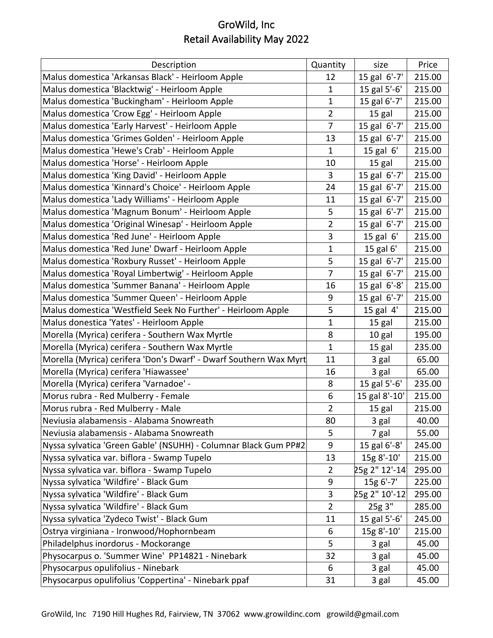| Description                                                       | Quantity       | size          | Price  |
|-------------------------------------------------------------------|----------------|---------------|--------|
| Malus domestica 'Arkansas Black' - Heirloom Apple                 | 12             | 15 gal 6'-7'  | 215.00 |
| Malus domestica 'Blacktwig' - Heirloom Apple                      | $\mathbf 1$    | 15 gal 5'-6'  | 215.00 |
| Malus domestica 'Buckingham' - Heirloom Apple                     | $\mathbf{1}$   | 15 gal 6'-7'  | 215.00 |
| Malus domestica 'Crow Egg' - Heirloom Apple                       | $\overline{2}$ | 15 gal        | 215.00 |
| Malus domestica 'Early Harvest' - Heirloom Apple                  | $\overline{7}$ | 15 gal 6'-7'  | 215.00 |
| Malus domestica 'Grimes Golden' - Heirloom Apple                  | 13             | 15 gal 6'-7'  | 215.00 |
| Malus domestica 'Hewe's Crab' - Heirloom Apple                    | $\mathbf{1}$   | 15 gal $6'$   | 215.00 |
| Malus domestica 'Horse' - Heirloom Apple                          | 10             | 15 gal        | 215.00 |
| Malus domestica 'King David' - Heirloom Apple                     | $\overline{3}$ | 15 gal 6'-7'  | 215.00 |
| Malus domestica 'Kinnard's Choice' - Heirloom Apple               | 24             | 15 gal 6'-7'  | 215.00 |
| Malus domestica 'Lady Williams' - Heirloom Apple                  | 11             | 15 gal 6'-7'  | 215.00 |
| Malus domestica 'Magnum Bonum' - Heirloom Apple                   | 5              | 15 gal 6'-7'  | 215.00 |
| Malus domestica 'Original Winesap' - Heirloom Apple               | $\overline{2}$ | 15 gal 6'-7'  | 215.00 |
| Malus domestica 'Red June' - Heirloom Apple                       | 3              | $15$ gal $6'$ | 215.00 |
| Malus domestica 'Red June' Dwarf - Heirloom Apple                 | $\mathbf{1}$   | 15 gal 6'     | 215.00 |
| Malus domestica 'Roxbury Russet' - Heirloom Apple                 | 5              | 15 gal 6'-7'  | 215.00 |
| Malus domestica 'Royal Limbertwig' - Heirloom Apple               | $\overline{7}$ | 15 gal 6'-7'  | 215.00 |
| Malus domestica 'Summer Banana' - Heirloom Apple                  | 16             | 15 gal 6'-8'  | 215.00 |
| Malus domestica 'Summer Queen' - Heirloom Apple                   | 9              | 15 gal 6'-7'  | 215.00 |
| Malus domestica 'Westfield Seek No Further' - Heirloom Apple      | 5              | 15 gal 4'     | 215.00 |
| Malus donestica 'Yates' - Heirloom Apple                          | $\mathbf{1}$   | 15 gal        | 215.00 |
| Morella (Myrica) cerifera - Southern Wax Myrtle                   | 8              | 10 gal        | 195.00 |
| Morella (Myrica) cerifera - Southern Wax Myrtle                   | $\mathbf{1}$   | 15 gal        | 235.00 |
| Morella (Myrica) cerifera 'Don's Dwarf' - Dwarf Southern Wax Myrt | 11             | 3 gal         | 65.00  |
| Morella (Myrica) cerifera 'Hiawassee'                             | 16             | 3 gal         | 65.00  |
| Morella (Myrica) cerifera 'Varnadoe' -                            | 8              | 15 gal 5'-6'  | 235.00 |
| Morus rubra - Red Mulberry - Female                               | 6              | 15 gal 8'-10' | 215.00 |
| Morus rubra - Red Mulberry - Male                                 | $\overline{2}$ | 15 gal        | 215.00 |
| Neviusia alabamensis - Alabama Snowreath                          | 80             | 3 gal         | 40.00  |
| Neviusia alabamensis - Alabama Snowreath                          | 5              | 7 gal         | 55.00  |
| Nyssa sylvatica 'Green Gable' (NSUHH) - Columnar Black Gum PP#2   | 9              | 15 gal 6'-8'  | 245.00 |
| Nyssa sylvatica var. biflora - Swamp Tupelo                       | 13             | 15g 8'-10'    | 215.00 |
| Nyssa sylvatica var. biflora - Swamp Tupelo                       | $\overline{2}$ | 25g 2" 12'-14 | 295.00 |
| Nyssa sylvatica 'Wildfire' - Black Gum                            | 9              | 15g 6'-7'     | 225.00 |
| Nyssa sylvatica 'Wildfire' - Black Gum                            | 3              | 25g 2" 10'-12 | 295.00 |
| Nyssa sylvatica 'Wildfire' - Black Gum                            | $\overline{2}$ | 25g 3"        | 285.00 |
| Nyssa sylvatica 'Zydeco Twist' - Black Gum                        | 11             | 15 gal 5'-6'  | 245.00 |
| Ostrya virginiana - Ironwood/Hophornbeam                          | 6              | 15g 8'-10'    | 215.00 |
| Philadelphus inordorus - Mockorange                               | 5              | 3 gal         | 45.00  |
| Physocarpus o. 'Summer Wine' PP14821 - Ninebark                   | 32             | 3 gal         | 45.00  |
| Physocarpus opulifolius - Ninebark                                | 6              | 3 gal         | 45.00  |
| Physocarpus opulifolius 'Coppertina' - Ninebark ppaf              | 31             | 3 gal         | 45.00  |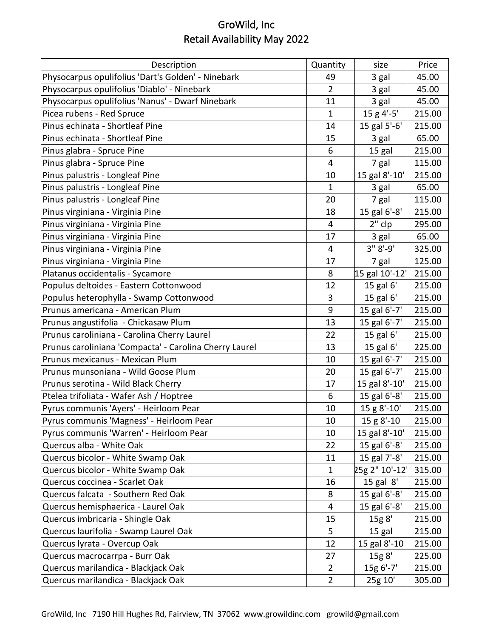| Description                                            | Quantity       | size           | Price  |
|--------------------------------------------------------|----------------|----------------|--------|
| Physocarpus opulifolius 'Dart's Golden' - Ninebark     | 49             | 3 gal          | 45.00  |
| Physocarpus opulifolius 'Diablo' - Ninebark            | $\overline{2}$ | 3 gal          | 45.00  |
| Physocarpus opulifolius 'Nanus' - Dwarf Ninebark       | 11             | 3 gal          | 45.00  |
| Picea rubens - Red Spruce                              | $\mathbf{1}$   | 15 g 4'-5'     | 215.00 |
| Pinus echinata - Shortleaf Pine                        | 14             | 15 gal 5'-6'   | 215.00 |
| Pinus echinata - Shortleaf Pine                        | 15             | 3 gal          | 65.00  |
| Pinus glabra - Spruce Pine                             | 6              | 15 gal         | 215.00 |
| Pinus glabra - Spruce Pine                             | 4              | 7 gal          | 115.00 |
| Pinus palustris - Longleaf Pine                        | 10             | 15 gal 8'-10'  | 215.00 |
| Pinus palustris - Longleaf Pine                        | 1              | 3 gal          | 65.00  |
| Pinus palustris - Longleaf Pine                        | 20             | 7 gal          | 115.00 |
| Pinus virginiana - Virginia Pine                       | 18             | 15 gal 6'-8'   | 215.00 |
| Pinus virginiana - Virginia Pine                       | $\overline{4}$ | $2"$ clp       | 295.00 |
| Pinus virginiana - Virginia Pine                       | 17             | 3 gal          | 65.00  |
| Pinus virginiana - Virginia Pine                       | 4              | $3" 8'-9'$     | 325.00 |
| Pinus virginiana - Virginia Pine                       | 17             | 7 gal          | 125.00 |
| Platanus occidentalis - Sycamore                       | 8              | 15 gal 10'-12' | 215.00 |
| Populus deltoides - Eastern Cottonwood                 | 12             | 15 gal 6'      | 215.00 |
| Populus heterophylla - Swamp Cottonwood                | 3              | 15 gal 6'      | 215.00 |
| Prunus americana - American Plum                       | 9              | 15 gal 6'-7'   | 215.00 |
| Prunus angustifolia - Chickasaw Plum                   | 13             | 15 gal 6'-7'   | 215.00 |
| Prunus caroliniana - Carolina Cherry Laurel            | 22             | 15 gal 6'      | 215.00 |
| Prunus caroliniana 'Compacta' - Carolina Cherry Laurel | 13             | 15 gal 6'      | 225.00 |
| Prunus mexicanus - Mexican Plum                        | 10             | 15 gal 6'-7'   | 215.00 |
| Prunus munsoniana - Wild Goose Plum                    | 20             | 15 gal 6'-7'   | 215.00 |
| Prunus serotina - Wild Black Cherry                    | 17             | 15 gal 8'-10'  | 215.00 |
| Ptelea trifoliata - Wafer Ash / Hoptree                | 6              | 15 gal 6'-8'   | 215.00 |
| Pyrus communis 'Ayers' - Heirloom Pear                 | 10             | 15 g 8'-10'    | 215.00 |
| Pyrus communis 'Magness' - Heirloom Pear               | 10             | 15 g 8'-10     | 215.00 |
| Pyrus communis 'Warren' - Heirloom Pear                | 10             | 15 gal 8'-10'  | 215.00 |
| Quercus alba - White Oak                               | 22             | 15 gal 6'-8'   | 215.00 |
| Quercus bicolor - White Swamp Oak                      | 11             | 15 gal 7'-8'   | 215.00 |
| Quercus bicolor - White Swamp Oak                      | $\mathbf 1$    | 25g 2" 10'-12  | 315.00 |
| Quercus coccinea - Scarlet Oak                         | 16             | $15$ gal $8'$  | 215.00 |
| Quercus falcata - Southern Red Oak                     | 8              | 15 gal 6'-8'   | 215.00 |
| Quercus hemisphaerica - Laurel Oak                     | 4              | 15 gal 6'-8'   | 215.00 |
| Quercus imbricaria - Shingle Oak                       | 15             | 15g 8'         | 215.00 |
| Quercus laurifolia - Swamp Laurel Oak                  | 5              | 15 gal         | 215.00 |
| Quercus lyrata - Overcup Oak                           | 12             | 15 gal 8'-10   | 215.00 |
| Quercus macrocarrpa - Burr Oak                         | 27             | 15g 8'         | 225.00 |
| Quercus marilandica - Blackjack Oak                    | $\overline{2}$ | 15g 6'-7'      | 215.00 |
| Quercus marilandica - Blackjack Oak                    | $\overline{2}$ | 25g 10'        | 305.00 |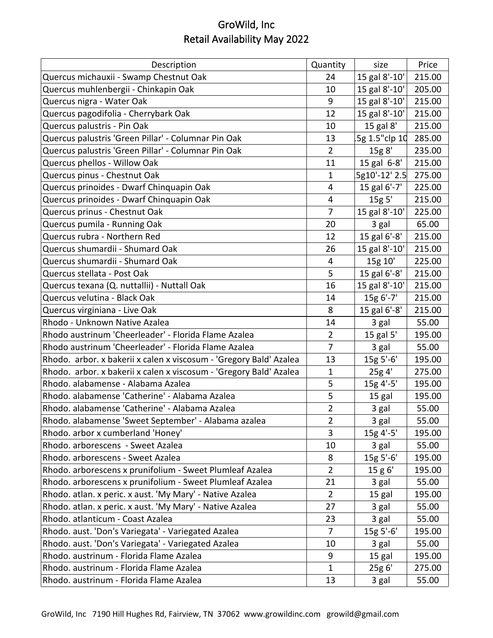| Description                                                        | Quantity       | size               | Price  |
|--------------------------------------------------------------------|----------------|--------------------|--------|
| Quercus michauxii - Swamp Chestnut Oak                             | 24             | 15 gal 8'-10'      | 215.00 |
| Quercus muhlenbergii - Chinkapin Oak                               | 10             | 15 gal 8'-10'      | 205.00 |
| Quercus nigra - Water Oak                                          | 9              | 15 gal 8'-10'      | 215.00 |
| Quercus pagodifolia - Cherrybark Oak                               | 12             | 15 gal 8'-10'      | 215.00 |
| Quercus palustris - Pin Oak                                        | 10             | 15 gal 8'          | 215.00 |
| Quercus palustris 'Green Pillar' - Columnar Pin Oak                | 13             | 5g 1.5"clp 10      | 285.00 |
| Quercus palustris 'Green Pillar' - Columnar Pin Oak                | $\overline{2}$ | 15g 8'             | 235.00 |
| Quercus phellos - Willow Oak                                       | 11             | 15 gal 6-8'        | 215.00 |
| Quercus pinus - Chestnut Oak                                       | $\mathbf{1}$   | $5g10' - 12'$ 2.5  | 275.00 |
| Quercus prinoides - Dwarf Chinquapin Oak                           | 4              | 15 gal 6'-7'       | 225.00 |
| Quercus prinoides - Dwarf Chinquapin Oak                           | 4              | 15g <sub>5</sub> ' | 215.00 |
| Quercus prinus - Chestnut Oak                                      | 7              | 15 gal 8'-10'      | 225.00 |
| Quercus pumila - Running Oak                                       | 20             | 3 gal              | 65.00  |
| Quercus rubra - Northern Red                                       | 12             | 15 gal 6'-8'       | 215.00 |
| Quercus shumardii - Shumard Oak                                    | 26             | 15 gal 8'-10'      | 215.00 |
| Quercus shumardii - Shumard Oak                                    | 4              | 15g 10'            | 225.00 |
| Quercus stellata - Post Oak                                        | 5              | 15 gal 6'-8'       | 215.00 |
| Quercus texana (Q. nuttallii) - Nuttall Oak                        | 16             | 15 gal 8'-10'      | 215.00 |
| Quercus velutina - Black Oak                                       | 14             | 15g 6'-7'          | 215.00 |
| Quercus virginiana - Live Oak                                      | 8              | 15 gal 6'-8'       | 215.00 |
| Rhodo - Unknown Native Azalea                                      | 14             | 3 gal              | 55.00  |
| Rhodo austrinum 'Cheerleader' - Florida Flame Azalea               | $\overline{2}$ | 15 gal 5'          | 195.00 |
| Rhodo austrinum 'Cheerleader' - Florida Flame Azalea               | $\overline{7}$ | 3 gal              | 55.00  |
| Rhodo. arbor. x bakerii x calen x viscosum - 'Gregory Bald' Azalea | 13             | 15g 5'-6'          | 195.00 |
| Rhodo. arbor. x bakerii x calen x viscosum - 'Gregory Bald' Azalea | 1              | 25g 4'             | 275.00 |
| Rhodo. alabamense - Alabama Azalea                                 | 5              | 15g 4'-5'          | 195.00 |
| Rhodo. alabamense 'Catherine' - Alabama Azalea                     | 5              | 15 gal             | 195.00 |
| Rhodo. alabamense 'Catherine' - Alabama Azalea                     | $\overline{2}$ | 3 gal              | 55.00  |
| Rhodo. alabamense 'Sweet September' - Alabama azalea               | 2              | 3 gal              | 55.00  |
| Rhodo. arbor x cumberland 'Honey'                                  | 3              | 15g 4'-5'          | 195.00 |
| Rhodo. arborescens - Sweet Azalea                                  | 10             | 3 gal              | 55.00  |
| Rhodo. arborescens - Sweet Azalea                                  | 8              | 15g 5'-6'          | 195.00 |
| Rhodo. arborescens x prunifolium - Sweet Plumleaf Azalea           | $\overline{2}$ | 15 g 6'            | 195.00 |
| Rhodo. arborescens x prunifolium - Sweet Plumleaf Azalea           | 21             | 3 gal              | 55.00  |
| Rhodo. atlan. x peric. x aust. 'My Mary' - Native Azalea           | $\overline{2}$ | 15 gal             | 195.00 |
| Rhodo. atlan. x peric. x aust. 'My Mary' - Native Azalea           | 27             | 3 gal              | 55.00  |
| Rhodo. atlanticum - Coast Azalea                                   | 23             | 3 gal              | 55.00  |
| Rhodo. aust. 'Don's Variegata' - Variegated Azalea                 | 7              | 15g 5'-6'          | 195.00 |
| Rhodo. aust. 'Don's Variegata' - Variegated Azalea                 | 10             | 3 gal              | 55.00  |
| Rhodo. austrinum - Florida Flame Azalea                            | 9              | 15 gal             | 195.00 |
| Rhodo. austrinum - Florida Flame Azalea                            | $\mathbf 1$    | 25g 6'             | 275.00 |
| Rhodo. austrinum - Florida Flame Azalea                            | 13             | 3 gal              | 55.00  |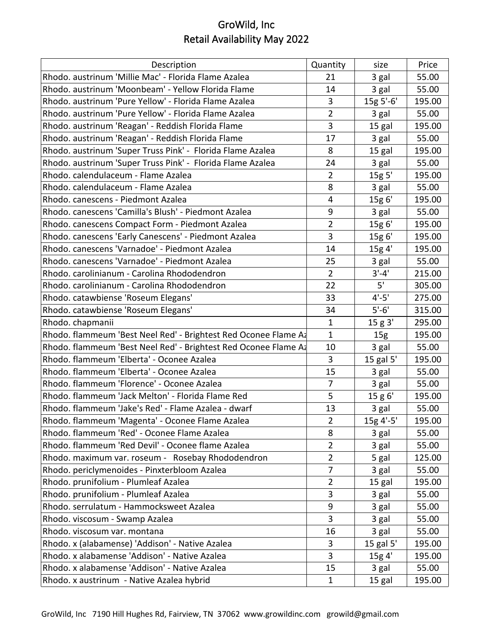| Description                                                     | Quantity       | size            | Price  |
|-----------------------------------------------------------------|----------------|-----------------|--------|
| Rhodo. austrinum 'Millie Mac' - Florida Flame Azalea            | 21             | 3 gal           | 55.00  |
| Rhodo. austrinum 'Moonbeam' - Yellow Florida Flame              | 14             | 3 gal           | 55.00  |
| Rhodo. austrinum 'Pure Yellow' - Florida Flame Azalea           | 3              | 15g 5'-6'       | 195.00 |
| Rhodo. austrinum 'Pure Yellow' - Florida Flame Azalea           | $\overline{2}$ | 3 gal           | 55.00  |
| Rhodo. austrinum 'Reagan' - Reddish Florida Flame               | 3              | 15 gal          | 195.00 |
| Rhodo. austrinum 'Reagan' - Reddish Florida Flame               | 17             | 3 gal           | 55.00  |
| Rhodo. austrinum 'Super Truss Pink' - Florida Flame Azalea      | 8              | 15 gal          | 195.00 |
| Rhodo. austrinum 'Super Truss Pink' - Florida Flame Azalea      | 24             | 3 gal           | 55.00  |
| Rhodo. calendulaceum - Flame Azalea                             | $\overline{2}$ | 15g 5'          | 195.00 |
| Rhodo. calendulaceum - Flame Azalea                             | 8              | 3 gal           | 55.00  |
| Rhodo. canescens - Piedmont Azalea                              | $\overline{4}$ | 15g 6'          | 195.00 |
| Rhodo. canescens 'Camilla's Blush' - Piedmont Azalea            | 9              | 3 gal           | 55.00  |
| Rhodo. canescens Compact Form - Piedmont Azalea                 | 2              | 15g 6'          | 195.00 |
| Rhodo. canescens 'Early Canescens' - Piedmont Azalea            | 3              | 15g 6'          | 195.00 |
| Rhodo. canescens 'Varnadoe' - Piedmont Azalea                   | 14             | 15g 4'          | 195.00 |
| Rhodo. canescens 'Varnadoe' - Piedmont Azalea                   | 25             | 3 gal           | 55.00  |
| Rhodo. carolinianum - Carolina Rhododendron                     | $\overline{2}$ | $3' - 4'$       | 215.00 |
| Rhodo, carolinianum - Carolina Rhododendron                     | 22             | 5'              | 305.00 |
| Rhodo. catawbiense 'Roseum Elegans'                             | 33             | $4' - 5'$       | 275.00 |
| Rhodo. catawbiense 'Roseum Elegans'                             | 34             | $5' - 6'$       | 315.00 |
| Rhodo. chapmanii                                                | $\mathbf{1}$   | 15 g 3'         | 295.00 |
| Rhodo. flammeum 'Best Neel Red' - Brightest Red Oconee Flame A  | $\mathbf{1}$   | 15 <sub>g</sub> | 195.00 |
| Rhodo. flammeum 'Best Neel Red' - Brightest Red Oconee Flame Az | 10             | 3 gal           | 55.00  |
| Rhodo. flammeum 'Elberta' - Oconee Azalea                       | 3              | 15 gal 5'       | 195.00 |
| Rhodo. flammeum 'Elberta' - Oconee Azalea                       | 15             | 3 gal           | 55.00  |
| Rhodo. flammeum 'Florence' - Oconee Azalea                      | $\overline{7}$ | 3 gal           | 55.00  |
| Rhodo. flammeum 'Jack Melton' - Florida Flame Red               | 5              | 15 g 6'         | 195.00 |
| Rhodo. flammeum 'Jake's Red' - Flame Azalea - dwarf             | 13             | 3 gal           | 55.00  |
| Rhodo. flammeum 'Magenta' - Oconee Flame Azalea                 | $\overline{2}$ | 15g 4'-5'       | 195.00 |
| Rhodo. flammeum 'Red' - Oconee Flame Azalea                     | 8              | 3 gal           | 55.00  |
| Rhodo. flammeum 'Red Devil' - Oconee flame Azalea               | $\overline{2}$ | 3 gal           | 55.00  |
| Rhodo. maximum var. roseum - Rosebay Rhododendron               | $\overline{2}$ | 5 gal           | 125.00 |
| Rhodo. periclymenoides - Pinxterbloom Azalea                    | $\overline{7}$ | 3 gal           | 55.00  |
| Rhodo. prunifolium - Plumleaf Azalea                            | 2              | 15 gal          | 195.00 |
| Rhodo. prunifolium - Plumleaf Azalea                            | 3              | 3 gal           | 55.00  |
| Rhodo. serrulatum - Hammocksweet Azalea                         | 9              | 3 gal           | 55.00  |
| Rhodo. viscosum - Swamp Azalea                                  | 3              | 3 gal           | 55.00  |
| Rhodo. viscosum var. montana                                    | 16             | 3 gal           | 55.00  |
| Rhodo. x (alabamense) 'Addison' - Native Azalea                 | 3              | 15 gal 5'       | 195.00 |
| Rhodo. x alabamense 'Addison' - Native Azalea                   | 3              | 15g 4'          | 195.00 |
| Rhodo. x alabamense 'Addison' - Native Azalea                   | 15             | 3 gal           | 55.00  |
| Rhodo. x austrinum - Native Azalea hybrid                       | $\mathbf 1$    | 15 gal          | 195.00 |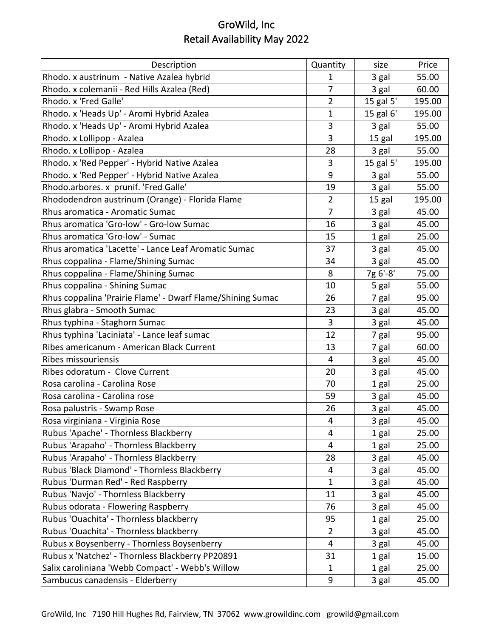| Description                                                | Quantity       | size      | Price  |
|------------------------------------------------------------|----------------|-----------|--------|
| Rhodo. x austrinum - Native Azalea hybrid                  | 1              | 3 gal     | 55.00  |
| Rhodo. x colemanii - Red Hills Azalea (Red)                | $\overline{7}$ | 3 gal     | 60.00  |
| Rhodo. x 'Fred Galle'                                      | $\overline{2}$ | 15 gal 5' | 195.00 |
| Rhodo. x 'Heads Up' - Aromi Hybrid Azalea                  | $\mathbf{1}$   | 15 gal 6' | 195.00 |
| Rhodo. x 'Heads Up' - Aromi Hybrid Azalea                  | 3              | 3 gal     | 55.00  |
| Rhodo. x Lollipop - Azalea                                 | 3              | 15 gal    | 195.00 |
| Rhodo. x Lollipop - Azalea                                 | 28             | 3 gal     | 55.00  |
| Rhodo. x 'Red Pepper' - Hybrid Native Azalea               | 3              | 15 gal 5' | 195.00 |
| Rhodo. x 'Red Pepper' - Hybrid Native Azalea               | 9              | 3 gal     | 55.00  |
| Rhodo.arbores. x prunif. 'Fred Galle'                      | 19             | 3 gal     | 55.00  |
| Rhododendron austrinum (Orange) - Florida Flame            | $\overline{2}$ | 15 gal    | 195.00 |
| Rhus aromatica - Aromatic Sumac                            | 7              | 3 gal     | 45.00  |
| Rhus aromatica 'Gro-low' - Gro-low Sumac                   | 16             | 3 gal     | 45.00  |
| Rhus aromatica 'Gro-low' - Sumac                           | 15             | 1 gal     | 25.00  |
| Rhus aromatica 'Lacette' - Lance Leaf Aromatic Sumac       | 37             | 3 gal     | 45.00  |
| Rhus coppalina - Flame/Shining Sumac                       | 34             | 3 gal     | 45.00  |
| Rhus coppalina - Flame/Shining Sumac                       | 8              | 7g 6'-8'  | 75.00  |
| Rhus coppalina - Shining Sumac                             | 10             | 5 gal     | 55.00  |
| Rhus coppalina 'Prairie Flame' - Dwarf Flame/Shining Sumac | 26             | 7 gal     | 95.00  |
| Rhus glabra - Smooth Sumac                                 | 23             | 3 gal     | 45.00  |
| Rhus typhina - Staghorn Sumac                              | 3              | 3 gal     | 45.00  |
| Rhus typhina 'Laciniata' - Lance leaf sumac                | 12             | 7 gal     | 95.00  |
| Ribes americanum - American Black Current                  | 13             | 7 gal     | 60.00  |
| <b>Ribes missouriensis</b>                                 | 4              | 3 gal     | 45.00  |
| Ribes odoratum - Clove Current                             | 20             | 3 gal     | 45.00  |
| Rosa carolina - Carolina Rose                              | 70             | 1 gal     | 25.00  |
| Rosa carolina - Carolina rose                              | 59             | 3 gal     | 45.00  |
| Rosa palustris - Swamp Rose                                | 26             | 3 gal     | 45.00  |
| Rosa virginiana - Virginia Rose                            | 4              | 3 gal     | 45.00  |
| Rubus 'Apache' - Thornless Blackberry                      | 4              | 1 gal     | 25.00  |
| Rubus 'Arapaho' - Thornless Blackberry                     | 4              | 1 gal     | 25.00  |
| Rubus 'Arapaho' - Thornless Blackberry                     | 28             | 3 gal     | 45.00  |
| Rubus 'Black Diamond' - Thornless Blackberry               | 4              | 3 gal     | 45.00  |
| Rubus 'Durman Red' - Red Raspberry                         | 1              | 3 gal     | 45.00  |
| Rubus 'Navjo' - Thornless Blackberry                       | 11             | 3 gal     | 45.00  |
| Rubus odorata - Flowering Raspberry                        | 76             | 3 gal     | 45.00  |
| Rubus 'Ouachita' - Thornless blackberry                    | 95             | 1 gal     | 25.00  |
| Rubus 'Ouachita' - Thornless blackberry                    | $\overline{2}$ | 3 gal     | 45.00  |
| Rubus x Boysenberry - Thornless Boysenberry                | 4              | 3 gal     | 45.00  |
| Rubus x 'Natchez' - Thornless Blackberry PP20891           | 31             | 1 gal     | 15.00  |
| Salix caroliniana 'Webb Compact' - Webb's Willow           | $\mathbf{1}$   | 1 gal     | 25.00  |
| Sambucus canadensis - Elderberry                           | 9              | 3 gal     | 45.00  |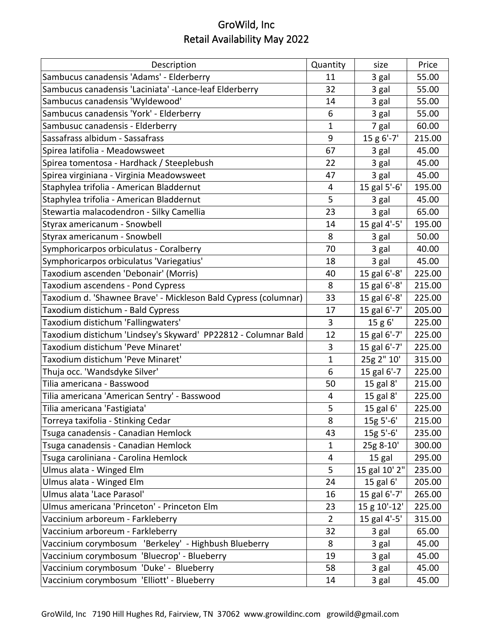| Description                                                     | Quantity       | size          | Price  |
|-----------------------------------------------------------------|----------------|---------------|--------|
| Sambucus canadensis 'Adams' - Elderberry                        | 11             | 3 gal         | 55.00  |
| Sambucus canadensis 'Laciniata' -Lance-leaf Elderberry          | 32             | 3 gal         | 55.00  |
| Sambucus canadensis 'Wyldewood'                                 | 14             | 3 gal         | 55.00  |
| Sambucus canadensis 'York' - Elderberry                         | 6              | 3 gal         | 55.00  |
| Sambusuc canadensis - Elderberry                                | 1              | 7 gal         | 60.00  |
| Sassafrass albidum - Sassafrass                                 | 9              | 15 g 6'-7'    | 215.00 |
| Spirea latifolia - Meadowsweet                                  | 67             | 3 gal         | 45.00  |
| Spirea tomentosa - Hardhack / Steeplebush                       | 22             | 3 gal         | 45.00  |
| Spirea virginiana - Virginia Meadowsweet                        | 47             | 3 gal         | 45.00  |
| Staphylea trifolia - American Bladdernut                        | 4              | 15 gal 5'-6'  | 195.00 |
| Staphylea trifolia - American Bladdernut                        | 5              | 3 gal         | 45.00  |
| Stewartia malacodendron - Silky Camellia                        | 23             | 3 gal         | 65.00  |
| Styrax americanum - Snowbell                                    | 14             | 15 gal 4'-5'  | 195.00 |
| Styrax americanum - Snowbell                                    | 8              | 3 gal         | 50.00  |
| Symphoricarpos orbiculatus - Coralberry                         | 70             | 3 gal         | 40.00  |
| Symphoricarpos orbiculatus 'Variegatius'                        | 18             | 3 gal         | 45.00  |
| Taxodium ascenden 'Debonair' (Morris)                           | 40             | 15 gal 6'-8'  | 225.00 |
| Taxodium ascendens - Pond Cypress                               | 8              | 15 gal 6'-8'  | 215.00 |
| Taxodium d. 'Shawnee Brave' - Mickleson Bald Cypress (columnar) | 33             | 15 gal 6'-8'  | 225.00 |
| Taxodium distichum - Bald Cypress                               | 17             | 15 gal 6'-7'  | 205.00 |
| Taxodium distichum 'Fallingwaters'                              | 3              | 15 g 6'       | 225.00 |
| Taxodium distichum 'Lindsey's Skyward' PP22812 - Columnar Bald  | 12             | 15 gal 6'-7'  | 225.00 |
| Taxodium distichum 'Peve Minaret'                               | 3              | 15 gal 6'-7'  | 225.00 |
| Taxodium distichum 'Peve Minaret'                               | $\mathbf 1$    | 25g 2" 10'    | 315.00 |
| Thuja occ. 'Wandsdyke Silver'                                   | 6              | 15 gal 6'-7   | 225.00 |
| Tilia americana - Basswood                                      | 50             | 15 gal 8'     | 215.00 |
| Tilia americana 'American Sentry' - Basswood                    | 4              | 15 gal 8'     | 225.00 |
| Tilia americana 'Fastigiata'                                    | 5              | 15 gal 6'     | 225.00 |
| Torreya taxifolia - Stinking Cedar                              | 8              | $15g 5'-6'$   | 215.00 |
| Tsuga canadensis - Canadian Hemlock                             | 43             | 15g 5'-6'     | 235.00 |
| Tsuga canadensis - Canadian Hemlock                             | $\mathbf 1$    | 25g 8-10'     | 300.00 |
| Tsuga caroliniana - Carolina Hemlock                            | 4              | 15 gal        | 295.00 |
| Ulmus alata - Winged Elm                                        | 5              | 15 gal 10' 2" | 235.00 |
| Ulmus alata - Winged Elm                                        | 24             | 15 gal 6'     | 205.00 |
| Ulmus alata 'Lace Parasol'                                      | 16             | 15 gal 6'-7'  | 265.00 |
| Ulmus americana 'Princeton' - Princeton Elm                     | 23             | 15 g 10'-12'  | 225.00 |
| Vaccinium arboreum - Farkleberry                                | $\overline{2}$ | 15 gal 4'-5'  | 315.00 |
| Vaccinium arboreum - Farkleberry                                | 32             | 3 gal         | 65.00  |
| Vaccinium corymbosum 'Berkeley' - Highbush Blueberry            | 8              | 3 gal         | 45.00  |
| Vaccinium corymbosum 'Bluecrop' - Blueberry                     | 19             | 3 gal         | 45.00  |
| Vaccinium corymbosum 'Duke' - Blueberry                         | 58             | 3 gal         | 45.00  |
| Vaccinium corymbosum 'Elliott' - Blueberry                      | 14             | 3 gal         | 45.00  |